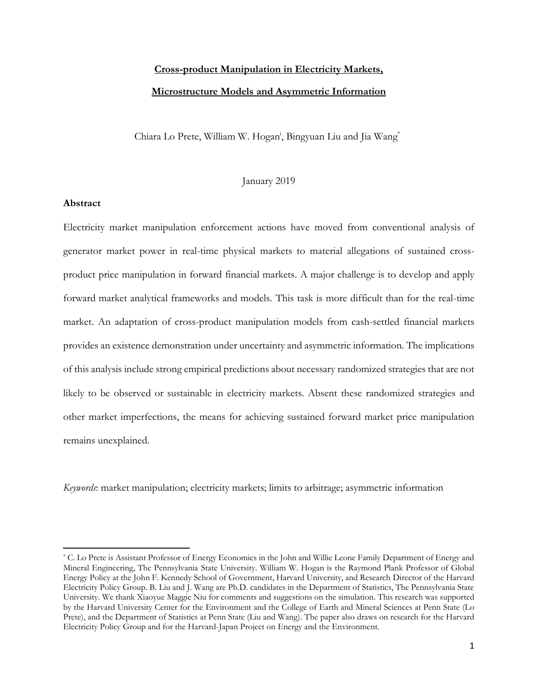# **Cross-product Manipulation in Electricity Markets, Microstructure Models and Asymmetric Information**

Chiara Lo Prete, William W. Hogan<sup>i</sup> , Bingyuan Liu and Jia Wang\*

## January 2019

## **Abstract**

 $\overline{\phantom{a}}$ 

Electricity market manipulation enforcement actions have moved from conventional analysis of generator market power in real-time physical markets to material allegations of sustained crossproduct price manipulation in forward financial markets. A major challenge is to develop and apply forward market analytical frameworks and models. This task is more difficult than for the real-time market. An adaptation of cross-product manipulation models from cash-settled financial markets provides an existence demonstration under uncertainty and asymmetric information. The implications of this analysis include strong empirical predictions about necessary randomized strategies that are not likely to be observed or sustainable in electricity markets. Absent these randomized strategies and other market imperfections, the means for achieving sustained forward market price manipulation remains unexplained.

*Keywords*: market manipulation; electricity markets; limits to arbitrage; asymmetric information

<sup>\*</sup> C. Lo Prete is Assistant Professor of Energy Economics in the John and Willie Leone Family Department of Energy and Mineral Engineering, The Pennsylvania State University. William W. Hogan is the Raymond Plank Professor of Global Energy Policy at the John F. Kennedy School of Government, Harvard University, and Research Director of the Harvard Electricity Policy Group. B. Liu and J. Wang are Ph.D. candidates in the Department of Statistics, The Pennsylvania State University. We thank Xiaoyue Maggie Niu for comments and suggestions on the simulation. This research was supported by the Harvard University Center for the Environment and the College of Earth and Mineral Sciences at Penn State (Lo Prete), and the Department of Statistics at Penn State (Liu and Wang). The paper also draws on research for the Harvard Electricity Policy Group and for the Harvard-Japan Project on Energy and the Environment.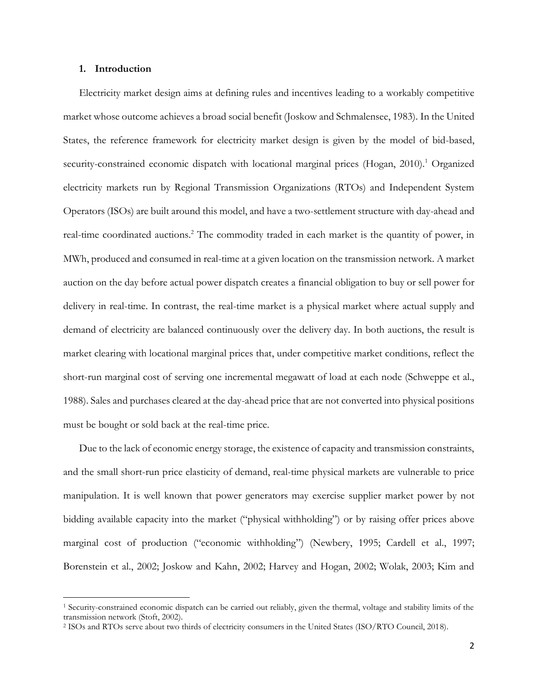## **1. Introduction**

 $\overline{\phantom{a}}$ 

Electricity market design aims at defining rules and incentives leading to a workably competitive market whose outcome achieves a broad social benefit (Joskow and Schmalensee, 1983). In the United States, the reference framework for electricity market design is given by the model of bid-based, security-constrained economic dispatch with locational marginal prices (Hogan, 2010).<sup>1</sup> Organized electricity markets run by Regional Transmission Organizations (RTOs) and Independent System Operators (ISOs) are built around this model, and have a two-settlement structure with day-ahead and real-time coordinated auctions.<sup>2</sup> The commodity traded in each market is the quantity of power, in MWh, produced and consumed in real-time at a given location on the transmission network. A market auction on the day before actual power dispatch creates a financial obligation to buy or sell power for delivery in real-time. In contrast, the real-time market is a physical market where actual supply and demand of electricity are balanced continuously over the delivery day. In both auctions, the result is market clearing with locational marginal prices that, under competitive market conditions, reflect the short-run marginal cost of serving one incremental megawatt of load at each node (Schweppe et al., 1988). Sales and purchases cleared at the day-ahead price that are not converted into physical positions must be bought or sold back at the real-time price.

Due to the lack of economic energy storage, the existence of capacity and transmission constraints, and the small short-run price elasticity of demand, real-time physical markets are vulnerable to price manipulation. It is well known that power generators may exercise supplier market power by not bidding available capacity into the market ("physical withholding") or by raising offer prices above marginal cost of production ("economic withholding") (Newbery, 1995; Cardell et al., 1997; Borenstein et al., 2002; Joskow and Kahn, 2002; Harvey and Hogan, 2002; Wolak, 2003; Kim and

<sup>1</sup> Security-constrained economic dispatch can be carried out reliably, given the thermal, voltage and stability limits of the transmission network (Stoft, 2002).

<sup>2</sup> ISOs and RTOs serve about two thirds of electricity consumers in the United States (ISO/RTO Council, 2018).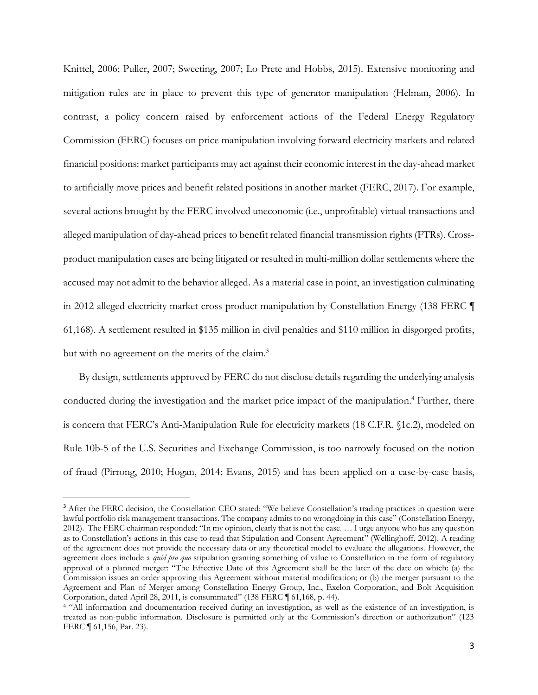Knittel, 2006; Puller, 2007; Sweeting, 2007; Lo Prete and Hobbs, 2015). Extensive monitoring and mitigation rules are in place to prevent this type of generator manipulation (Helman, 2006). In contrast, a policy concern raised by enforcement actions of the Federal Energy Regulatory Commission (FERC) focuses on price manipulation involving forward electricity markets and related financial positions: market participants may act against their economic interest in the day-ahead market to artificially move prices and benefit related positions in another market (FERC, 2017). For example, several actions brought by the FERC involved uneconomic (i.e., unprofitable) virtual transactions and alleged manipulation of day-ahead prices to benefit related financial transmission rights (FTRs). Crossproduct manipulation cases are being litigated or resulted in multi-million dollar settlements where the accused may not admit to the behavior alleged. As a material case in point, an investigation culminating in 2012 alleged electricity market cross-product manipulation by Constellation Energy (138 FERC ¶ 61,168). A settlement resulted in \$135 million in civil penalties and \$110 million in disgorged profits, but with no agreement on the merits of the claim.<sup>3</sup>

By design, settlements approved by FERC do not disclose details regarding the underlying analysis conducted during the investigation and the market price impact of the manipulation.<sup>4</sup> Further, there is concern that FERC's Anti-Manipulation Rule for electricity markets (18 C.F.R. §1c.2), modeled on Rule 10b-5 of the U.S. Securities and Exchange Commission, is too narrowly focused on the notion of fraud (Pirrong, 2010; Hogan, 2014; Evans, 2015) and has been applied on a case-by-case basis,

 $\overline{\phantom{a}}$ 

<sup>&</sup>lt;sup>3</sup> After the FERC decision, the Constellation CEO stated: "We believe Constellation's trading practices in question were lawful portfolio risk management transactions. The company admits to no wrongdoing in this case" (Constellation Energy, 2012). The FERC chairman responded: "In my opinion, clearly that is not the case. … I urge anyone who has any question as to Constellation's actions in this case to read that Stipulation and Consent Agreement" (Wellinghoff, 2012). A reading of the agreement does not provide the necessary data or any theoretical model to evaluate the allegations. However, the agreement does include a *quid pro quo* stipulation granting something of value to Constellation in the form of regulatory approval of a planned merger: "The Effective Date of this Agreement shall be the later of the date on which: (a) the Commission issues an order approving this Agreement without material modification; or (b) the merger pursuant to the Agreement and Plan of Merger among Constellation Energy Group, Inc., Exelon Corporation, and Bolt Acquisition Corporation, dated April 28, 2011, is consummated" (138 FERC ¶ 61,168, p. 44).

<sup>4</sup> "All information and documentation received during an investigation, as well as the existence of an investigation, is treated as non-public information. Disclosure is permitted only at the Commission's direction or authorization" (123 FERC ¶ 61,156, Par. 23).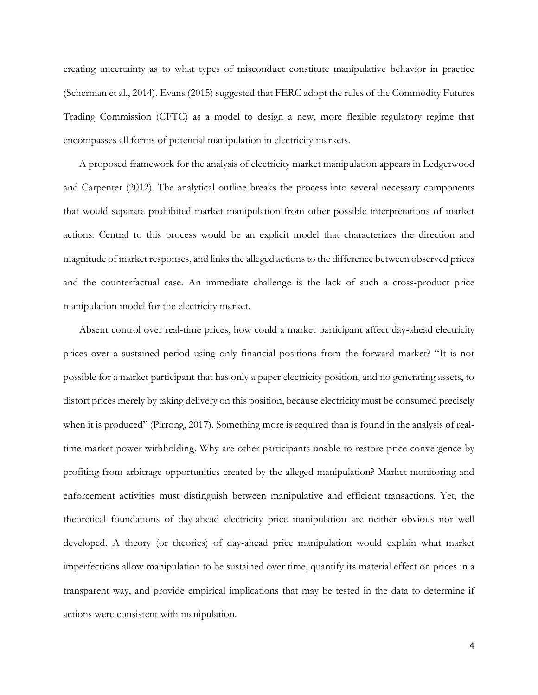creating uncertainty as to what types of misconduct constitute manipulative behavior in practice (Scherman et al., 2014). Evans (2015) suggested that FERC adopt the rules of the Commodity Futures Trading Commission (CFTC) as a model to design a new, more flexible regulatory regime that encompasses all forms of potential manipulation in electricity markets.

A proposed framework for the analysis of electricity market manipulation appears in Ledgerwood and Carpenter (2012). The analytical outline breaks the process into several necessary components that would separate prohibited market manipulation from other possible interpretations of market actions. Central to this process would be an explicit model that characterizes the direction and magnitude of market responses, and links the alleged actions to the difference between observed prices and the counterfactual case. An immediate challenge is the lack of such a cross-product price manipulation model for the electricity market.

Absent control over real-time prices, how could a market participant affect day-ahead electricity prices over a sustained period using only financial positions from the forward market? "It is not possible for a market participant that has only a paper electricity position, and no generating assets, to distort prices merely by taking delivery on this position, because electricity must be consumed precisely when it is produced" (Pirrong, 2017). Something more is required than is found in the analysis of realtime market power withholding. Why are other participants unable to restore price convergence by profiting from arbitrage opportunities created by the alleged manipulation? Market monitoring and enforcement activities must distinguish between manipulative and efficient transactions. Yet, the theoretical foundations of day-ahead electricity price manipulation are neither obvious nor well developed. A theory (or theories) of day-ahead price manipulation would explain what market imperfections allow manipulation to be sustained over time, quantify its material effect on prices in a transparent way, and provide empirical implications that may be tested in the data to determine if actions were consistent with manipulation.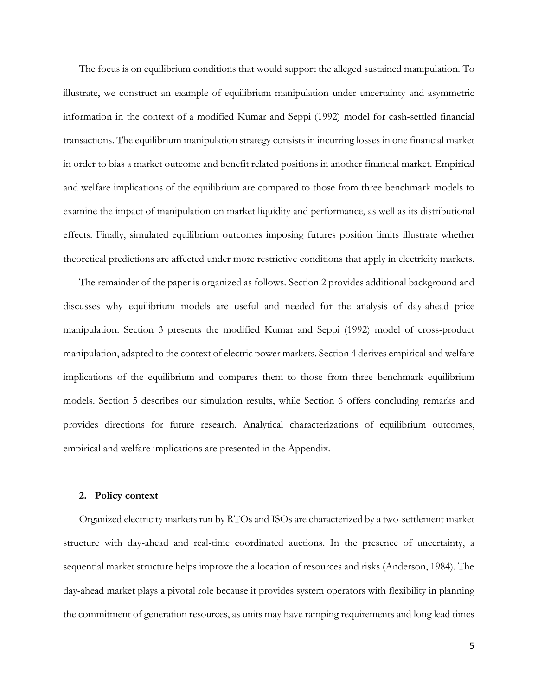The focus is on equilibrium conditions that would support the alleged sustained manipulation. To illustrate, we construct an example of equilibrium manipulation under uncertainty and asymmetric information in the context of a modified Kumar and Seppi (1992) model for cash-settled financial transactions. The equilibrium manipulation strategy consists in incurring losses in one financial market in order to bias a market outcome and benefit related positions in another financial market. Empirical and welfare implications of the equilibrium are compared to those from three benchmark models to examine the impact of manipulation on market liquidity and performance, as well as its distributional effects. Finally, simulated equilibrium outcomes imposing futures position limits illustrate whether theoretical predictions are affected under more restrictive conditions that apply in electricity markets.

The remainder of the paper is organized as follows. Section 2 provides additional background and discusses why equilibrium models are useful and needed for the analysis of day-ahead price manipulation. Section 3 presents the modified Kumar and Seppi (1992) model of cross-product manipulation, adapted to the context of electric power markets. Section 4 derives empirical and welfare implications of the equilibrium and compares them to those from three benchmark equilibrium models. Section 5 describes our simulation results, while Section 6 offers concluding remarks and provides directions for future research. Analytical characterizations of equilibrium outcomes, empirical and welfare implications are presented in the Appendix.

### **2. Policy context**

Organized electricity markets run by RTOs and ISOs are characterized by a two-settlement market structure with day-ahead and real-time coordinated auctions. In the presence of uncertainty, a sequential market structure helps improve the allocation of resources and risks (Anderson, 1984). The day-ahead market plays a pivotal role because it provides system operators with flexibility in planning the commitment of generation resources, as units may have ramping requirements and long lead times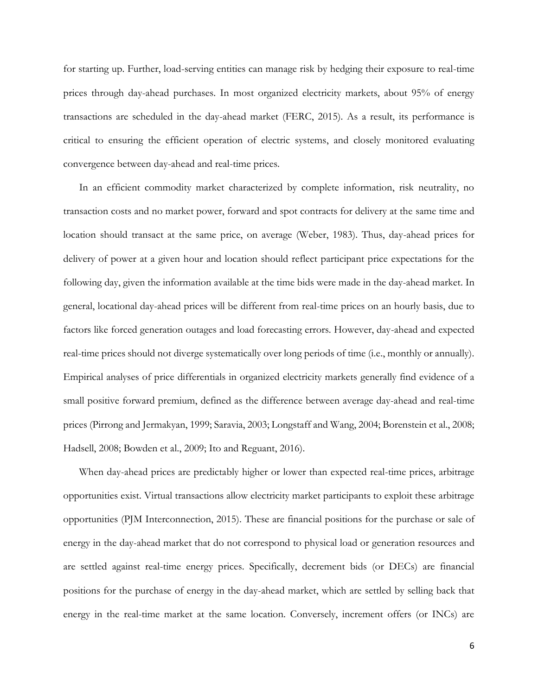for starting up. Further, load-serving entities can manage risk by hedging their exposure to real-time prices through day-ahead purchases. In most organized electricity markets, about 95% of energy transactions are scheduled in the day-ahead market (FERC, 2015). As a result, its performance is critical to ensuring the efficient operation of electric systems, and closely monitored evaluating convergence between day-ahead and real-time prices.

In an efficient commodity market characterized by complete information, risk neutrality, no transaction costs and no market power, forward and spot contracts for delivery at the same time and location should transact at the same price, on average (Weber, 1983). Thus, day-ahead prices for delivery of power at a given hour and location should reflect participant price expectations for the following day, given the information available at the time bids were made in the day-ahead market. In general, locational day-ahead prices will be different from real-time prices on an hourly basis, due to factors like forced generation outages and load forecasting errors. However, day-ahead and expected real-time prices should not diverge systematically over long periods of time (i.e., monthly or annually). Empirical analyses of price differentials in organized electricity markets generally find evidence of a small positive forward premium, defined as the difference between average day-ahead and real-time prices (Pirrong and Jermakyan, 1999; Saravia, 2003; Longstaff and Wang, 2004; Borenstein et al., 2008; Hadsell, 2008; Bowden et al., 2009; Ito and Reguant, 2016).

When day-ahead prices are predictably higher or lower than expected real-time prices, arbitrage opportunities exist. Virtual transactions allow electricity market participants to exploit these arbitrage opportunities (PJM Interconnection, 2015). These are financial positions for the purchase or sale of energy in the day-ahead market that do not correspond to physical load or generation resources and are settled against real-time energy prices. Specifically, decrement bids (or DECs) are financial positions for the purchase of energy in the day-ahead market, which are settled by selling back that energy in the real-time market at the same location. Conversely, increment offers (or INCs) are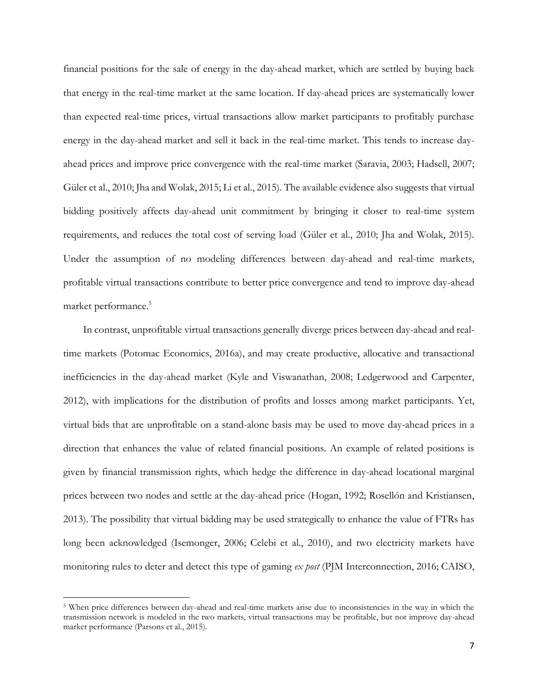financial positions for the sale of energy in the day-ahead market, which are settled by buying back that energy in the real-time market at the same location. If day-ahead prices are systematically lower than expected real-time prices, virtual transactions allow market participants to profitably purchase energy in the day-ahead market and sell it back in the real-time market. This tends to increase dayahead prices and improve price convergence with the real-time market (Saravia, 2003; Hadsell, 2007; Güler et al., 2010; Jha and Wolak, 2015; Li et al., 2015). The available evidence also suggests that virtual bidding positively affects day-ahead unit commitment by bringing it closer to real-time system requirements, and reduces the total cost of serving load (Güler et al., 2010; Jha and Wolak, 2015). Under the assumption of no modeling differences between day-ahead and real-time markets, profitable virtual transactions contribute to better price convergence and tend to improve day-ahead market performance.<sup>5</sup>

In contrast, unprofitable virtual transactions generally diverge prices between day-ahead and realtime markets (Potomac Economics, 2016a), and may create productive, allocative and transactional inefficiencies in the day-ahead market (Kyle and Viswanathan, 2008; Ledgerwood and Carpenter, 2012), with implications for the distribution of profits and losses among market participants. Yet, virtual bids that are unprofitable on a stand-alone basis may be used to move day-ahead prices in a direction that enhances the value of related financial positions. An example of related positions is given by financial transmission rights, which hedge the difference in day-ahead locational marginal prices between two nodes and settle at the day-ahead price (Hogan, 1992; Rosellón and Kristiansen, 2013). The possibility that virtual bidding may be used strategically to enhance the value of FTRs has long been acknowledged (Isemonger, 2006; Celebi et al., 2010), and two electricity markets have monitoring rules to deter and detect this type of gaming *ex post* (PJM Interconnection, 2016; CAISO,

 $\overline{\phantom{a}}$ 

<sup>5</sup> When price differences between day-ahead and real-time markets arise due to inconsistencies in the way in which the transmission network is modeled in the two markets, virtual transactions may be profitable, but not improve day-ahead market performance (Parsons et al., 2015).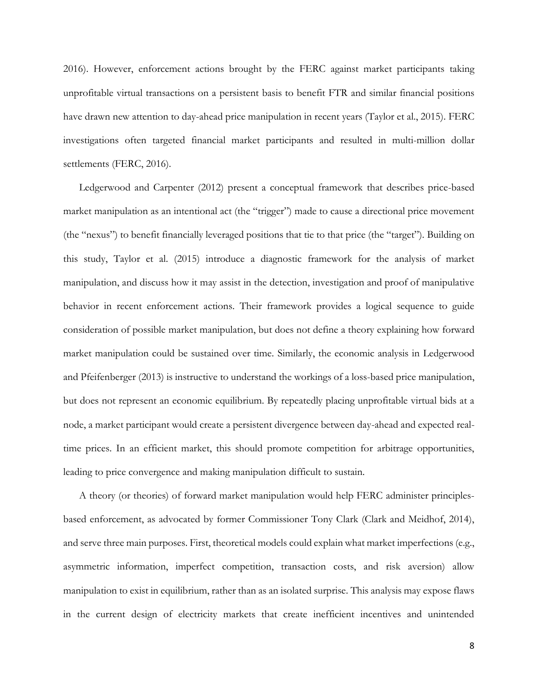2016). However, enforcement actions brought by the FERC against market participants taking unprofitable virtual transactions on a persistent basis to benefit FTR and similar financial positions have drawn new attention to day-ahead price manipulation in recent years (Taylor et al., 2015). FERC investigations often targeted financial market participants and resulted in multi-million dollar settlements (FERC, 2016).

Ledgerwood and Carpenter (2012) present a conceptual framework that describes price-based market manipulation as an intentional act (the "trigger") made to cause a directional price movement (the "nexus") to benefit financially leveraged positions that tie to that price (the "target"). Building on this study, Taylor et al. (2015) introduce a diagnostic framework for the analysis of market manipulation, and discuss how it may assist in the detection, investigation and proof of manipulative behavior in recent enforcement actions. Their framework provides a logical sequence to guide consideration of possible market manipulation, but does not define a theory explaining how forward market manipulation could be sustained over time. Similarly, the economic analysis in Ledgerwood and Pfeifenberger (2013) is instructive to understand the workings of a loss-based price manipulation, but does not represent an economic equilibrium. By repeatedly placing unprofitable virtual bids at a node, a market participant would create a persistent divergence between day-ahead and expected realtime prices. In an efficient market, this should promote competition for arbitrage opportunities, leading to price convergence and making manipulation difficult to sustain.

A theory (or theories) of forward market manipulation would help FERC administer principlesbased enforcement, as advocated by former Commissioner Tony Clark (Clark and Meidhof, 2014), and serve three main purposes. First, theoretical models could explain what market imperfections (e.g., asymmetric information, imperfect competition, transaction costs, and risk aversion) allow manipulation to exist in equilibrium, rather than as an isolated surprise. This analysis may expose flaws in the current design of electricity markets that create inefficient incentives and unintended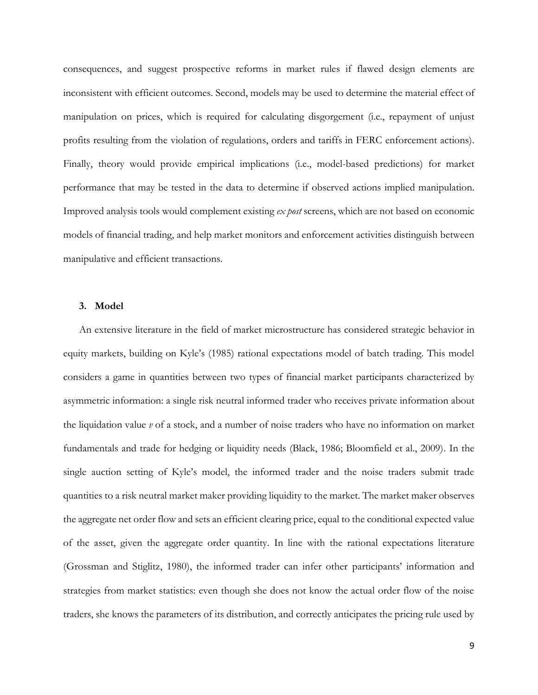consequences, and suggest prospective reforms in market rules if flawed design elements are inconsistent with efficient outcomes. Second, models may be used to determine the material effect of manipulation on prices, which is required for calculating disgorgement (i.e., repayment of unjust profits resulting from the violation of regulations, orders and tariffs in FERC enforcement actions). Finally, theory would provide empirical implications (i.e., model-based predictions) for market performance that may be tested in the data to determine if observed actions implied manipulation. Improved analysis tools would complement existing *ex post* screens, which are not based on economic models of financial trading, and help market monitors and enforcement activities distinguish between manipulative and efficient transactions.

## **3. Model**

An extensive literature in the field of market microstructure has considered strategic behavior in equity markets, building on Kyle's (1985) rational expectations model of batch trading. This model considers a game in quantities between two types of financial market participants characterized by asymmetric information: a single risk neutral informed trader who receives private information about the liquidation value *v* of a stock, and a number of noise traders who have no information on market fundamentals and trade for hedging or liquidity needs (Black, 1986; Bloomfield et al., 2009). In the single auction setting of Kyle's model, the informed trader and the noise traders submit trade quantities to a risk neutral market maker providing liquidity to the market. The market maker observes the aggregate net order flow and sets an efficient clearing price, equal to the conditional expected value of the asset, given the aggregate order quantity. In line with the rational expectations literature (Grossman and Stiglitz, 1980), the informed trader can infer other participants' information and strategies from market statistics: even though she does not know the actual order flow of the noise traders, she knows the parameters of its distribution, and correctly anticipates the pricing rule used by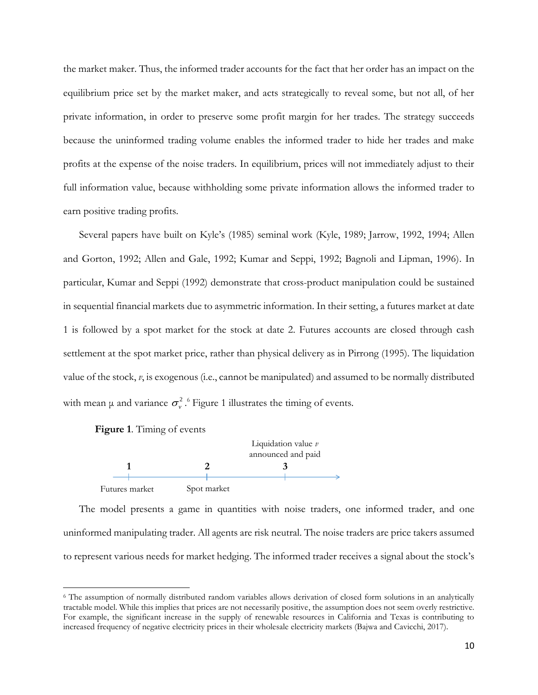the market maker. Thus, the informed trader accounts for the fact that her order has an impact on the equilibrium price set by the market maker, and acts strategically to reveal some, but not all, of her private information, in order to preserve some profit margin for her trades. The strategy succeeds because the uninformed trading volume enables the informed trader to hide her trades and make profits at the expense of the noise traders. In equilibrium, prices will not immediately adjust to their full information value, because withholding some private information allows the informed trader to earn positive trading profits.

Several papers have built on Kyle's (1985) seminal work (Kyle, 1989; Jarrow, 1992, 1994; Allen and Gorton, 1992; Allen and Gale, 1992; Kumar and Seppi, 1992; Bagnoli and Lipman, 1996). In particular, Kumar and Seppi (1992) demonstrate that cross-product manipulation could be sustained in sequential financial markets due to asymmetric information. In their setting, a futures market at date 1 is followed by a spot market for the stock at date 2. Futures accounts are closed through cash settlement at the spot market price, rather than physical delivery as in Pirrong (1995). The liquidation value of the stock, *v*, is exogenous (i.e., cannot be manipulated) and assumed to be normally distributed with mean  $\mu$  and variance  $\sigma_{\nu}^2$ .<sup>6</sup> Figure 1 illustrates the timing of events.



 $\overline{\phantom{a}}$ 



The model presents a game in quantities with noise traders, one informed trader, and one uninformed manipulating trader. All agents are risk neutral. The noise traders are price takers assumed to represent various needs for market hedging. The informed trader receives a signal about the stock's

<sup>6</sup> The assumption of normally distributed random variables allows derivation of closed form solutions in an analytically tractable model. While this implies that prices are not necessarily positive, the assumption does not seem overly restrictive. For example, the significant increase in the supply of renewable resources in California and Texas is contributing to increased frequency of negative electricity prices in their wholesale electricity markets (Bajwa and Cavicchi, 2017).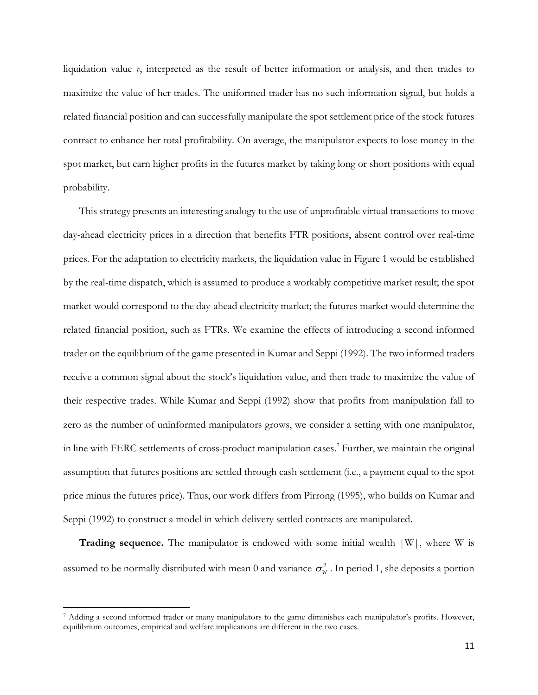liquidation value *v*, interpreted as the result of better information or analysis, and then trades to maximize the value of her trades. The uniformed trader has no such information signal, but holds a related financial position and can successfully manipulate the spot settlement price of the stock futures contract to enhance her total profitability. On average, the manipulator expects to lose money in the spot market, but earn higher profits in the futures market by taking long or short positions with equal probability.

This strategy presents an interesting analogy to the use of unprofitable virtual transactions to move day-ahead electricity prices in a direction that benefits FTR positions, absent control over real-time prices. For the adaptation to electricity markets, the liquidation value in Figure 1 would be established by the real-time dispatch, which is assumed to produce a workably competitive market result; the spot market would correspond to the day-ahead electricity market; the futures market would determine the related financial position, such as FTRs. We examine the effects of introducing a second informed trader on the equilibrium of the game presented in Kumar and Seppi (1992). The two informed traders receive a common signal about the stock's liquidation value, and then trade to maximize the value of their respective trades. While Kumar and Seppi (1992) show that profits from manipulation fall to zero as the number of uninformed manipulators grows, we consider a setting with one manipulator, in line with FERC settlements of cross-product manipulation cases. <sup>7</sup> Further, we maintain the original assumption that futures positions are settled through cash settlement (i.e., a payment equal to the spot price minus the futures price). Thus, our work differs from Pirrong (1995), who builds on Kumar and Seppi (1992) to construct a model in which delivery settled contracts are manipulated.

**Trading sequence.** The manipulator is endowed with some initial wealth  $|W|$ , where W is assumed to be normally distributed with mean  $0$  and variance  $\sigma_{w}^{2}$  . In period 1, she deposits a portion

 $\overline{\phantom{a}}$ 

<sup>7</sup> Adding a second informed trader or many manipulators to the game diminishes each manipulator's profits. However, equilibrium outcomes, empirical and welfare implications are different in the two cases.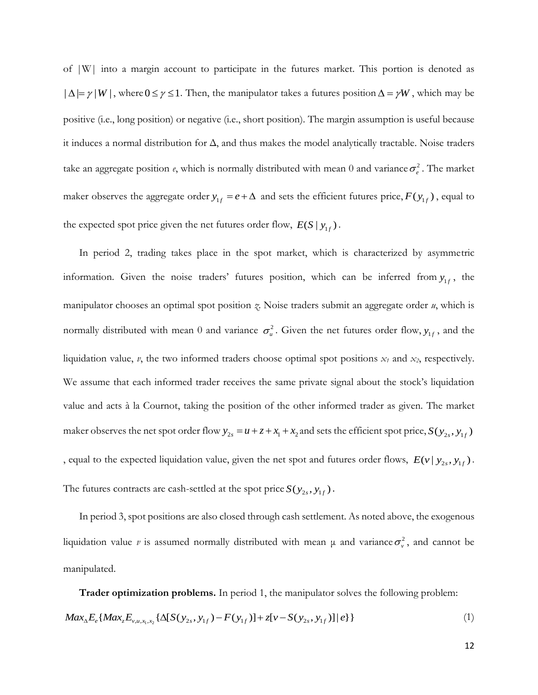of |W| into a margin account to participate in the futures market. This portion is denoted as  $|\Delta| = \gamma |W|$ , where  $0 \le \gamma \le 1$ . Then, the manipulator takes a futures position  $\Delta = \gamma W$ , which may be positive (i.e., long position) or negative (i.e., short position). The margin assumption is useful because it induces a normal distribution for  $\Delta$ , and thus makes the model analytically tractable. Noise traders take an aggregate position  $e$ , which is normally distributed with mean 0 and variance  $\sigma_e^2$ . The market maker observes the aggregate order  $y_{1f} = e + \Delta$  and sets the efficient futures price,  $F(y_{1f})$ , equal to the expected spot price given the net futures order flow,  $E(S | y_{1f})$ .

In period 2, trading takes place in the spot market, which is characterized by asymmetric information. Given the noise traders' futures position, which can be inferred from  $y_{1f}$ , the manipulator chooses an optimal spot position *z*. Noise traders submit an aggregate order *u*, which is normally distributed with mean 0 and variance  $\sigma_u^2$ . Given the net futures order flow,  $y_{1f}$ , and the liquidation value, *v*, the two informed traders choose optimal spot positions *x<sup>1</sup>* and *x2*, respectively. We assume that each informed trader receives the same private signal about the stock's liquidation value and acts à la Cournot, taking the position of the other informed trader as given. The market maker observes the net spot order flow  $y_{2s} = u + z + x_1 + x_2$  and sets the efficient spot price,  $S(y_{2s}, y_{1f})$ , equal to the expected liquidation value, given the net spot and futures order flows,  $E(v | y_{2s}, y_{1f})$ . The futures contracts are cash-settled at the spot price  $S(y_{2s}, y_{1f})$ .

In period 3, spot positions are also closed through cash settlement. As noted above, the exogenous liquidation value *v* is assumed normally distributed with mean  $\mu$  and variance  $\sigma_v^2$ , and cannot be manipulated.

**Trader optimization problems.** In period 1, the manipulator solves the following problem: **1 Trader optimization problems.** In period 1, the manipulator solves the following problem:<br>  $Max_{\Delta}E_e\{Max_zE_{v,u,x_1,x_2}\{\Delta[S(y_{2s}, y_{1f})-F(y_{1f})]+z[v-S(y_{2s}, y_{1f})]|e\}\}$  (1)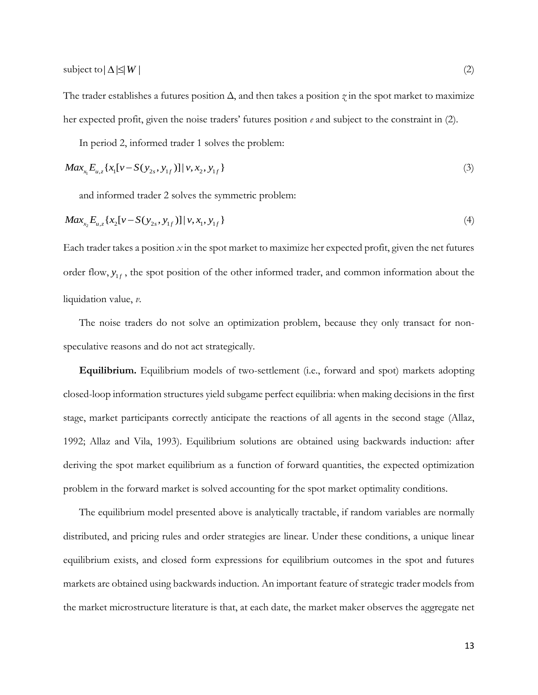subject to  $\Delta \leq W$  $|\Delta| \leq |W|$  (2)

The trader establishes a futures position  $\Delta$ , and then takes a position  $\gamma$  in the spot market to maximize her expected profit, given the noise traders' futures position *e* and subject to the constraint in (2).

In period 2, informed trader 1 solves the problem:

$$
Max_{x_1} E_{u,z} \{x_1[v - S(y_{2s}, y_{1f})] | v, x_2, y_{1f}\}\
$$
\n(3)

and informed trader 2 solves the symmetric problem:

$$
Max_{x_2} E_{u,z} \{ x_2 [v - S(y_{2s}, y_{1f})] | v, x_1, y_{1f} \}
$$
\n
$$
(4)
$$

Each trader takes a position *x* in the spot market to maximize her expected profit, given the net futures order flow,  $y_{1f}$ , the spot position of the other informed trader, and common information about the liquidation value, *v*.

The noise traders do not solve an optimization problem, because they only transact for nonspeculative reasons and do not act strategically.

**Equilibrium.** Equilibrium models of two-settlement (i.e., forward and spot) markets adopting closed-loop information structures yield subgame perfect equilibria: when making decisions in the first stage, market participants correctly anticipate the reactions of all agents in the second stage (Allaz, 1992; Allaz and Vila, 1993). Equilibrium solutions are obtained using backwards induction: after deriving the spot market equilibrium as a function of forward quantities, the expected optimization problem in the forward market is solved accounting for the spot market optimality conditions.

The equilibrium model presented above is analytically tractable, if random variables are normally distributed, and pricing rules and order strategies are linear. Under these conditions, a unique linear equilibrium exists, and closed form expressions for equilibrium outcomes in the spot and futures markets are obtained using backwards induction. An important feature of strategic trader models from the market microstructure literature is that, at each date, the market maker observes the aggregate net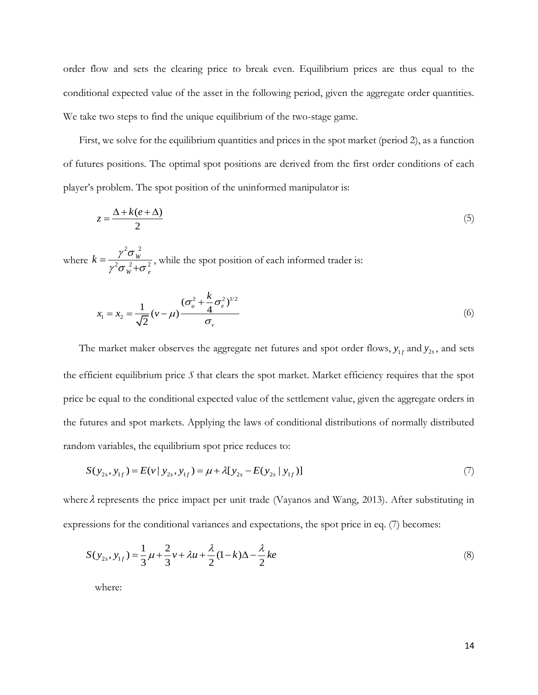order flow and sets the clearing price to break even. Equilibrium prices are thus equal to the conditional expected value of the asset in the following period, given the aggregate order quantities. We take two steps to find the unique equilibrium of the two-stage game.

First, we solve for the equilibrium quantities and prices in the spot market (period 2), as a function of futures positions. The optimal spot positions are derived from the first order conditions of each player's problem. The spot position of the uninformed manipulator is:

$$
z = \frac{\Delta + k(e + \Delta)}{2} \tag{5}
$$

where  $2^{2}$  $2 - 2 - 2$ *W*  $W^{\perp}$ **b** e  $k = \frac{\gamma^2 \sigma_{v}}{2}$  $\gamma^2 \sigma_w^2 + \sigma_w^2$  $=$  $\ddot{}$ , while the spot position of each informed trader is:

$$
x_1 = x_2 = \frac{1}{\sqrt{2}} (\nu - \mu) \frac{(\sigma_u^2 + \frac{k}{4} \sigma_e^2)^{1/2}}{\sigma_v}
$$
 (6)

The market maker observes the aggregate net futures and spot order flows,  $y_{1f}$  and  $y_{2s}$ , and sets the efficient equilibrium price *S* that clears the spot market. Market efficiency requires that the spot price be equal to the conditional expected value of the settlement value, given the aggregate orders in the futures and spot markets. Applying the laws of conditional distributions of normally distributed

random variables, the equilibrium spot price reduces to:  
\n
$$
S(y_{2s}, y_{1f}) = E(v | y_{2s}, y_{1f}) = \mu + \lambda [y_{2s} - E(y_{2s} | y_{1f})]
$$
\n(7)

where  $\lambda$  represents the price impact per unit trade (Vayanos and Wang, 2013). After substituting in expressions for the conditional variances and expectations, the spot price in eq. (7) becomes:

ssons for the conquormal variables and expectations, the spot price in eq. (7) becomes.  
\n
$$
S(y_{2s}, y_{1f}) = \frac{1}{3}\mu + \frac{2}{3}v + \lambda u + \frac{\lambda}{2}(1-k)\Delta - \frac{\lambda}{2}ke
$$
\n(8)

where: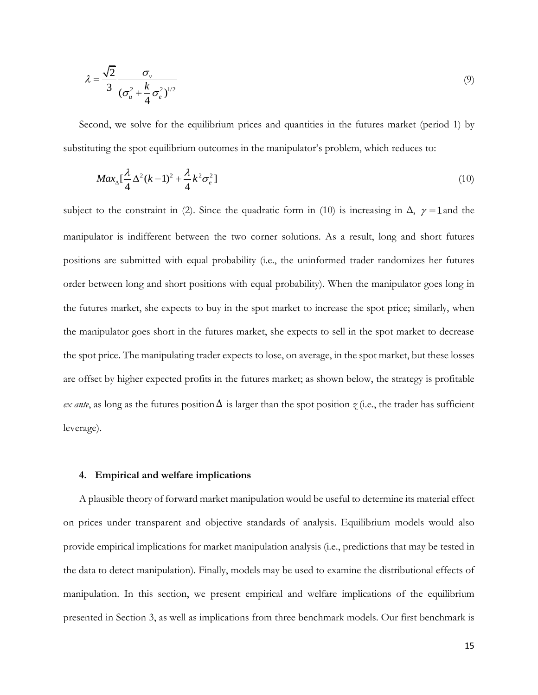$$
\lambda = \frac{\sqrt{2}}{3} \frac{\sigma_v}{(\sigma_u^2 + \frac{k}{4}\sigma_e^2)^{1/2}}
$$
\n(9)

Second, we solve for the equilibrium prices and quantities in the futures market (period 1) by substituting the spot equilibrium outcomes in the manipulator's problem, which reduces to:

$$
Max_{\Delta}[\frac{\lambda}{4}\Delta^2(k-1)^2 + \frac{\lambda}{4}k^2\sigma_e^2]
$$
\n(10)

subject to the constraint in (2). Since the quadratic form in (10) is increasing in  $\Delta$ ,  $\gamma = 1$  and the manipulator is indifferent between the two corner solutions. As a result, long and short futures positions are submitted with equal probability (i.e., the uninformed trader randomizes her futures order between long and short positions with equal probability). When the manipulator goes long in the futures market, she expects to buy in the spot market to increase the spot price; similarly, when the manipulator goes short in the futures market, she expects to sell in the spot market to decrease the spot price. The manipulating trader expects to lose, on average, in the spot market, but these losses are offset by higher expected profits in the futures market; as shown below, the strategy is profitable  $ex$  *ante*, as long as the futures position  $\Delta$  is larger than the spot position  $\gamma$  (i.e., the trader has sufficient leverage).

## **4. Empirical and welfare implications**

A plausible theory of forward market manipulation would be useful to determine its material effect on prices under transparent and objective standards of analysis. Equilibrium models would also provide empirical implications for market manipulation analysis (i.e., predictions that may be tested in the data to detect manipulation). Finally, models may be used to examine the distributional effects of manipulation. In this section, we present empirical and welfare implications of the equilibrium presented in Section 3, as well as implications from three benchmark models. Our first benchmark is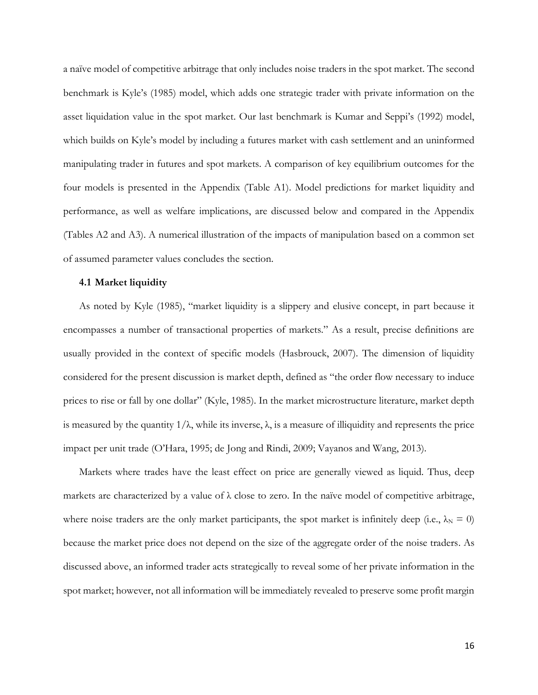a naïve model of competitive arbitrage that only includes noise traders in the spot market. The second benchmark is Kyle's (1985) model, which adds one strategic trader with private information on the asset liquidation value in the spot market. Our last benchmark is Kumar and Seppi's (1992) model, which builds on Kyle's model by including a futures market with cash settlement and an uninformed manipulating trader in futures and spot markets. A comparison of key equilibrium outcomes for the four models is presented in the Appendix (Table A1). Model predictions for market liquidity and performance, as well as welfare implications, are discussed below and compared in the Appendix (Tables A2 and A3). A numerical illustration of the impacts of manipulation based on a common set of assumed parameter values concludes the section.

## **4.1 Market liquidity**

As noted by Kyle (1985), "market liquidity is a slippery and elusive concept, in part because it encompasses a number of transactional properties of markets." As a result, precise definitions are usually provided in the context of specific models (Hasbrouck, 2007). The dimension of liquidity considered for the present discussion is market depth, defined as "the order flow necessary to induce prices to rise or fall by one dollar" (Kyle, 1985). In the market microstructure literature, market depth is measured by the quantity  $1/\lambda$ , while its inverse,  $\lambda$ , is a measure of illiquidity and represents the price impact per unit trade (O'Hara, 1995; de Jong and Rindi, 2009; Vayanos and Wang, 2013).

Markets where trades have the least effect on price are generally viewed as liquid. Thus, deep markets are characterized by a value of  $\lambda$  close to zero. In the naïve model of competitive arbitrage, where noise traders are the only market participants, the spot market is infinitely deep (i.e.,  $\lambda_N = 0$ ) because the market price does not depend on the size of the aggregate order of the noise traders. As discussed above, an informed trader acts strategically to reveal some of her private information in the spot market; however, not all information will be immediately revealed to preserve some profit margin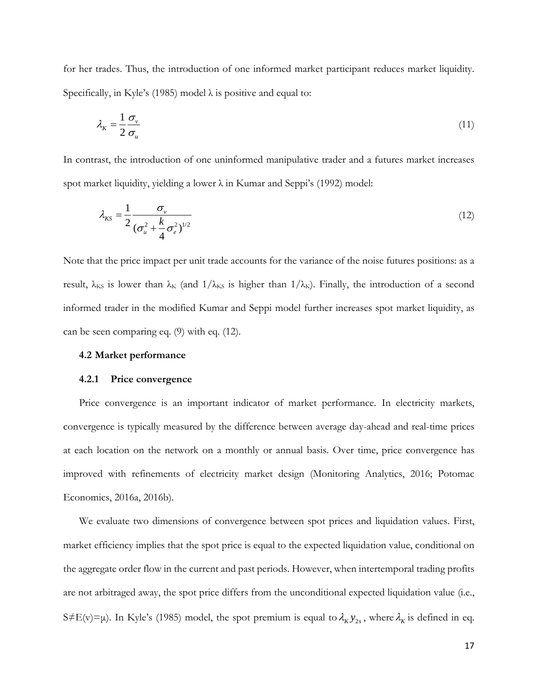for her trades. Thus, the introduction of one informed market participant reduces market liquidity. Specifically, in Kyle's (1985) model  $\lambda$  is positive and equal to:

$$
\lambda_{K} = \frac{1}{2} \frac{\sigma_{v}}{\sigma_{u}}
$$
\n(11)

In contrast, the introduction of one uninformed manipulative trader and a futures market increases spot market liquidity, yielding a lower λ in Kumar and Seppi's (1992) model:

$$
\lambda_{KS} = \frac{1}{2} \frac{\sigma_v}{(\sigma_u^2 + \frac{k}{4} \sigma_e^2)^{1/2}}
$$
\n(12)

Note that the price impact per unit trade accounts for the variance of the noise futures positions: as a result,  $\lambda_{KS}$  is lower than  $\lambda_K$  (and  $1/\lambda_{KS}$  is higher than  $1/\lambda_K$ ). Finally, the introduction of a second informed trader in the modified Kumar and Seppi model further increases spot market liquidity, as can be seen comparing eq. (9) with eq. (12).

### **4.2 Market performance**

### **4.2.1 Price convergence**

Price convergence is an important indicator of market performance. In electricity markets, convergence is typically measured by the difference between average day-ahead and real-time prices at each location on the network on a monthly or annual basis. Over time, price convergence has improved with refinements of electricity market design (Monitoring Analytics, 2016; Potomac Economics, 2016a, 2016b).

We evaluate two dimensions of convergence between spot prices and liquidation values. First, market efficiency implies that the spot price is equal to the expected liquidation value, conditional on the aggregate order flow in the current and past periods. However, when intertemporal trading profits are not arbitraged away, the spot price differs from the unconditional expected liquidation value (i.e., S  $\neq$  E(v) =  $\mu$ ). In Kyle's (1985) model, the spot premium is equal to  $\lambda_K y_{2s}$ , where  $\lambda_K$  is defined in eq.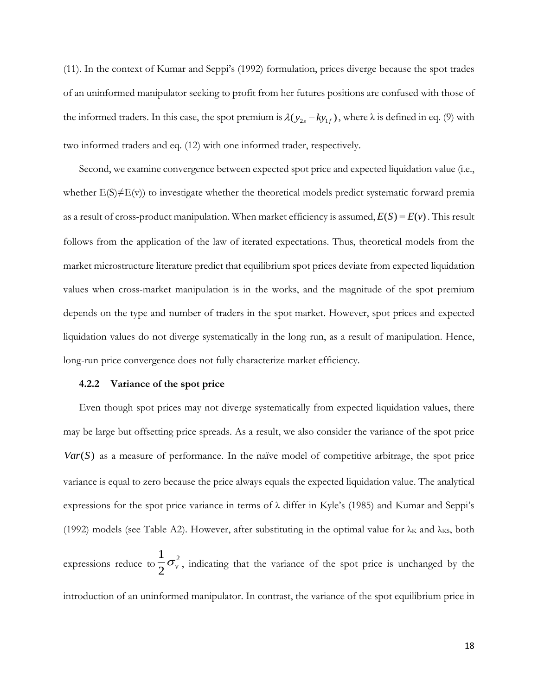(11). In the context of Kumar and Seppi's (1992) formulation, prices diverge because the spot trades of an uninformed manipulator seeking to profit from her futures positions are confused with those of the informed traders. In this case, the spot premium is  $\lambda(y_{2s} - ky_{1f})$ , where  $\lambda$  is defined in eq. (9) with two informed traders and eq. (12) with one informed trader, respectively.

Second, we examine convergence between expected spot price and expected liquidation value (i.e., whether  $E(S) \neq E(v)$ ) to investigate whether the theoretical models predict systematic forward premia as a result of cross-product manipulation. When market efficiency is assumed,  $E(S) = E(v)$ . This result follows from the application of the law of iterated expectations. Thus, theoretical models from the market microstructure literature predict that equilibrium spot prices deviate from expected liquidation values when cross-market manipulation is in the works, and the magnitude of the spot premium depends on the type and number of traders in the spot market. However, spot prices and expected liquidation values do not diverge systematically in the long run, as a result of manipulation. Hence, long-run price convergence does not fully characterize market efficiency.

## **4.2.2 Variance of the spot price**

Even though spot prices may not diverge systematically from expected liquidation values, there may be large but offsetting price spreads. As a result, we also consider the variance of the spot price Var(S) as a measure of performance. In the naïve model of competitive arbitrage, the spot price variance is equal to zero because the price always equals the expected liquidation value. The analytical expressions for the spot price variance in terms of λ differ in Kyle's (1985) and Kumar and Seppi's (1992) models (see Table A2). However, after substituting in the optimal value for  $\lambda_K$  and  $\lambda_{KS}$ , both expressions reduce to  $\frac{1}{2}$  $2^{\sigma_v}$ , indicating that the variance of the spot price is unchanged by the introduction of an uninformed manipulator. In contrast, the variance of the spot equilibrium price in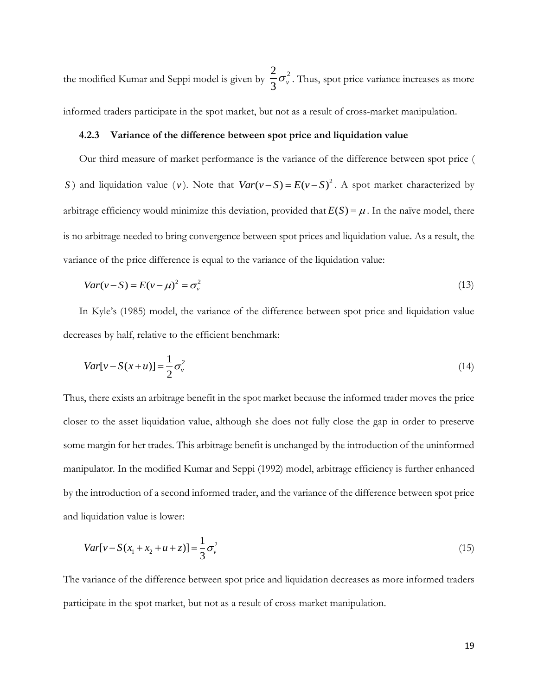the modified Kumar and Seppi model is given by  $\frac{2}{2}$  $\frac{1}{3}\sigma_{\nu}^{2}$ . Thus, spot price variance increases as more

informed traders participate in the spot market, but not as a result of cross-market manipulation.

## **4.2.3 Variance of the difference between spot price and liquidation value**

Our third measure of market performance is the variance of the difference between spot price ( *S*) and liquidation value (*v*). Note that  $Var(v-S) = E(v-S)^2$ . A spot market characterized by arbitrage efficiency would minimize this deviation, provided that  $E(S) = \mu$ . In the naïve model, there is no arbitrage needed to bring convergence between spot prices and liquidation value. As a result, the variance of the price difference is equal to the variance of the liquidation value:

$$
Var(v - S) = E(v - \mu)^2 = \sigma_v^2
$$
\n(13)

In Kyle's (1985) model, the variance of the difference between spot price and liquidation value decreases by half, relative to the efficient benchmark:

$$
Var[v - S(x + u)] = \frac{1}{2}\sigma_v^2
$$
\n(14)

Thus, there exists an arbitrage benefit in the spot market because the informed trader moves the price closer to the asset liquidation value, although she does not fully close the gap in order to preserve some margin for her trades. This arbitrage benefit is unchanged by the introduction of the uninformed manipulator. In the modified Kumar and Seppi (1992) model, arbitrage efficiency is further enhanced by the introduction of a second informed trader, and the variance of the difference between spot price and liquidation value is lower:

$$
Var[v - S(x_1 + x_2 + u + z)] = \frac{1}{3}\sigma_v^2
$$
\n(15)

The variance of the difference between spot price and liquidation decreases as more informed traders participate in the spot market, but not as a result of cross-market manipulation.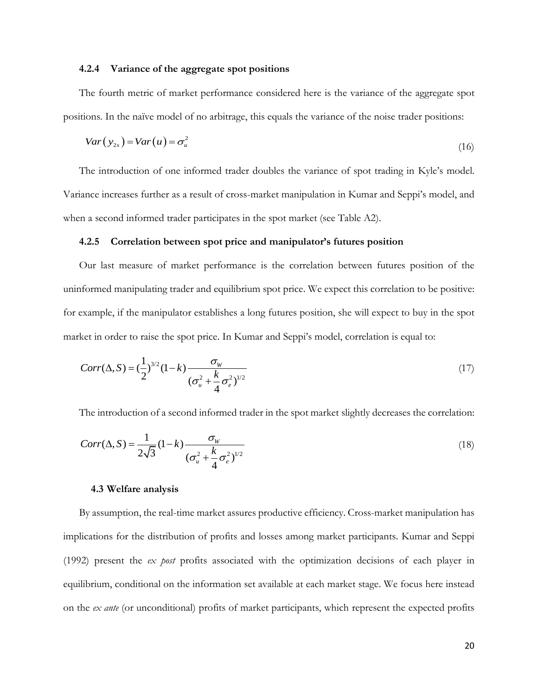## **4.2.4 Variance of the aggregate spot positions**

The fourth metric of market performance considered here is the variance of the aggregate spot positions. In the naïve model of no arbitrage, this equals the variance of the noise trader positions:

$$
Var(y_{2s}) = Var(u) = \sigma_u^2
$$
\n(16)

The introduction of one informed trader doubles the variance of spot trading in Kyle's model. Variance increases further as a result of cross-market manipulation in Kumar and Seppi's model, and when a second informed trader participates in the spot market (see Table A2).

## **4.2.5 Correlation between spot price and manipulator's futures position**

Our last measure of market performance is the correlation between futures position of the uninformed manipulating trader and equilibrium spot price. We expect this correlation to be positive: for example, if the manipulator establishes a long futures position, she will expect to buy in the spot market in order to raise the spot price. In Kumar and Seppi's model, correlation is equal to:

$$
Corr(\Delta, S) = \left(\frac{1}{2}\right)^{3/2} (1 - k) \frac{\sigma_w}{(\sigma_u^2 + \frac{k}{4}\sigma_e^2)^{1/2}}
$$
\n(17)

The introduction of a second informed trader in the spot market slightly decreases the correlation:

$$
Corr(\Delta, S) = \frac{1}{2\sqrt{3}} (1 - k) \frac{\sigma_w}{(\sigma_u^2 + \frac{k}{4} \sigma_e^2)^{1/2}}
$$
(18)

### **4.3 Welfare analysis**

By assumption, the real-time market assures productive efficiency. Cross-market manipulation has implications for the distribution of profits and losses among market participants. Kumar and Seppi (1992) present the *ex post* profits associated with the optimization decisions of each player in equilibrium, conditional on the information set available at each market stage. We focus here instead on the *ex ante* (or unconditional) profits of market participants, which represent the expected profits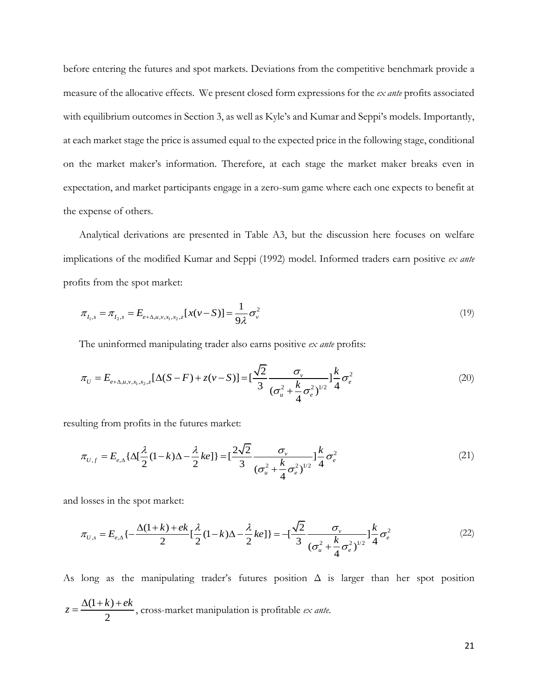before entering the futures and spot markets. Deviations from the competitive benchmark provide a measure of the allocative effects. We present closed form expressions for the *ex ante* profits associated with equilibrium outcomes in Section 3, as well as Kyle's and Kumar and Seppi's models. Importantly, at each market stage the price is assumed equal to the expected price in the following stage, conditional on the market maker's information. Therefore, at each stage the market maker breaks even in expectation, and market participants engage in a zero-sum game where each one expects to benefit at the expense of others.

Analytical derivations are presented in Table A3, but the discussion here focuses on welfare implications of the modified Kumar and Seppi (1992) model. Informed traders earn positive *ex ante* profits from the spot market:

$$
\pi_{I_{1},s} = \pi_{I_{2},s} = E_{e+\Delta,u,v,x_{1},x_{2},z}[x(v-S)] = \frac{1}{9\lambda}\sigma_{v}^{2}
$$
\n(19)

The uninformed manipulating trader also earns positive *ex ante* profits:  
\n
$$
\pi_U = E_{e+\Delta,u,v,x_1,x_2,z}[\Delta(S-F) + z(v-S)] = \left[\frac{\sqrt{2}}{3} \frac{\sigma_v}{(\sigma_u^2 + \frac{k}{4}\sigma_e^2)^{1/2}}\right]_4^k \sigma_e^2
$$
\n(20)

resulting from profits in the futures market:  
\n
$$
\pi_{U,f} = E_{e,\Delta} \{ \Delta[\frac{\lambda}{2}(1-k)\Delta - \frac{\lambda}{2}ke] \} = [\frac{2\sqrt{2}}{3} \frac{\sigma_v}{(\sigma_u^2 + \frac{k}{4}\sigma_e^2)^{1/2}}] \frac{k}{4}\sigma_e^2
$$
\n(21)

and losses in the spot market:

2

losses in the spot market:  
\n
$$
\pi_{U,s} = E_{e,\Delta} \left\{ -\frac{\Delta(1+k) + ek}{2} \left[ \frac{\lambda}{2} (1-k)\Delta - \frac{\lambda}{2} ke \right] \right\} = -\left[ \frac{\sqrt{2}}{3} \frac{\sigma_v}{(\sigma_u^2 + \frac{k}{4} \sigma_e^2)^{1/2}} \right] \frac{k}{4} \sigma_e^2
$$
\n(22)

As long as the manipulating trader's futures position  $\Delta$  is larger than her spot position  $(1 + k)$  $z = \frac{\Delta(1+k) + ek}{2}$  $=\frac{\Delta(1+\kappa)+\epsilon\kappa}{2}$ , cross-market manipulation is profitable *ex ante*.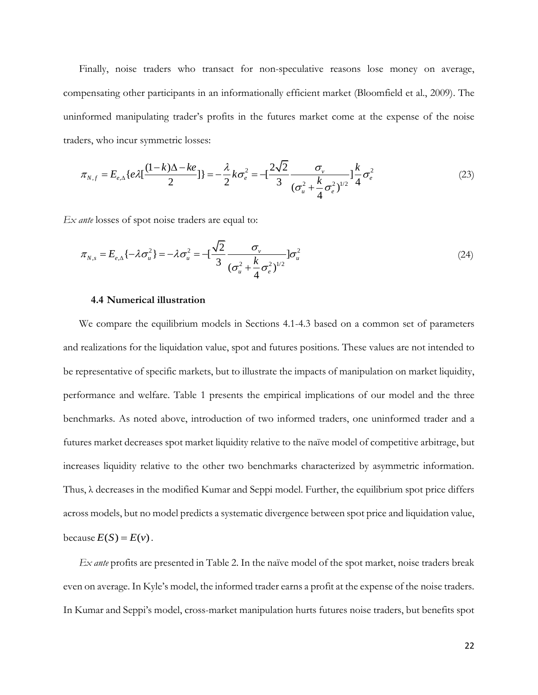Finally, noise traders who transact for non-speculative reasons lose money on average, compensating other participants in an informationally efficient market (Bloomfield et al., 2009). The uninformed manipulating trader's profits in the futures market come at the expense of the noise

traders, who incur symmetric losses:  
\n
$$
\pi_{N,f} = E_{e,\Delta} \{ e \lambda [\frac{(1-k)\Delta - ke}{2}] \} = -\frac{\lambda}{2} k \sigma_e^2 = -[\frac{2\sqrt{2}}{3} \frac{\sigma_v}{(\sigma_u^2 + \frac{k}{4} \sigma_e^2)^{1/2}}] \frac{k}{4} \sigma_e^2
$$
\n(23)

*Ex ante* losses of spot noise traders are equal to:

$$
\pi_{N,s} = E_{e,\Delta} \{ -\lambda \sigma_u^2 \} = -\lambda \sigma_u^2 = -\left[ \frac{\sqrt{2}}{3} \frac{\sigma_v}{(\sigma_u^2 + \frac{k}{4} \sigma_e^2)^{1/2}} \right] \sigma_u^2 \tag{24}
$$

## **4.4 Numerical illustration**

We compare the equilibrium models in Sections 4.1-4.3 based on a common set of parameters and realizations for the liquidation value, spot and futures positions. These values are not intended to be representative of specific markets, but to illustrate the impacts of manipulation on market liquidity, performance and welfare. Table 1 presents the empirical implications of our model and the three benchmarks. As noted above, introduction of two informed traders, one uninformed trader and a futures market decreases spot market liquidity relative to the naïve model of competitive arbitrage, but increases liquidity relative to the other two benchmarks characterized by asymmetric information. Thus,  $\lambda$  decreases in the modified Kumar and Seppi model. Further, the equilibrium spot price differs across models, but no model predicts a systematic divergence between spot price and liquidation value, because  $E(S) = E(v)$ .

*Ex ante* profits are presented in Table 2. In the naïve model of the spot market, noise traders break even on average. In Kyle's model, the informed trader earns a profit at the expense of the noise traders. In Kumar and Seppi's model, cross-market manipulation hurts futures noise traders, but benefits spot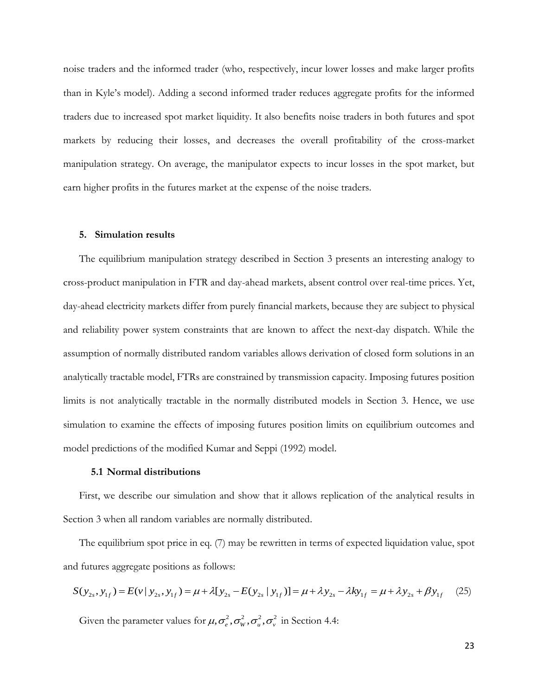noise traders and the informed trader (who, respectively, incur lower losses and make larger profits than in Kyle's model). Adding a second informed trader reduces aggregate profits for the informed traders due to increased spot market liquidity. It also benefits noise traders in both futures and spot markets by reducing their losses, and decreases the overall profitability of the cross-market manipulation strategy. On average, the manipulator expects to incur losses in the spot market, but earn higher profits in the futures market at the expense of the noise traders.

## **5. Simulation results**

The equilibrium manipulation strategy described in Section 3 presents an interesting analogy to cross-product manipulation in FTR and day-ahead markets, absent control over real-time prices. Yet, day-ahead electricity markets differ from purely financial markets, because they are subject to physical and reliability power system constraints that are known to affect the next-day dispatch. While the assumption of normally distributed random variables allows derivation of closed form solutions in an analytically tractable model, FTRs are constrained by transmission capacity. Imposing futures position limits is not analytically tractable in the normally distributed models in Section 3. Hence, we use simulation to examine the effects of imposing futures position limits on equilibrium outcomes and model predictions of the modified Kumar and Seppi (1992) model.

## **5.1 Normal distributions**

First, we describe our simulation and show that it allows replication of the analytical results in Section 3 when all random variables are normally distributed.

The equilibrium spot price in eq. (7) may be rewritten in terms of expected liquidation value, spot<br>d futures aggregate positions as follows:<br> $S(y_{2s}, y_{1f}) = E(v | y_{2s}, y_{1f}) = \mu + \lambda [y_{2s} - E(y_{2s} | y_{1f})] = \mu + \lambda y_{2s} - \lambda ky_{1f} = \mu + \lambda y_{$ and futures aggregate positions as follows:

$$
S(y_{2s}, y_{1f}) = E(v | y_{2s}, y_{1f}) = \mu + \lambda [y_{2s} - E(y_{2s} | y_{1f})] = \mu + \lambda y_{2s} - \lambda ky_{1f} = \mu + \lambda y_{2s} + \beta y_{1f} \quad (25)
$$

Given the parameter values for  $\mu$ ,  $\sigma_e^2$ ,  $\sigma_w^2$ ,  $\sigma_u^2$ ,  $\sigma_v^2$  in Section 4.4:

23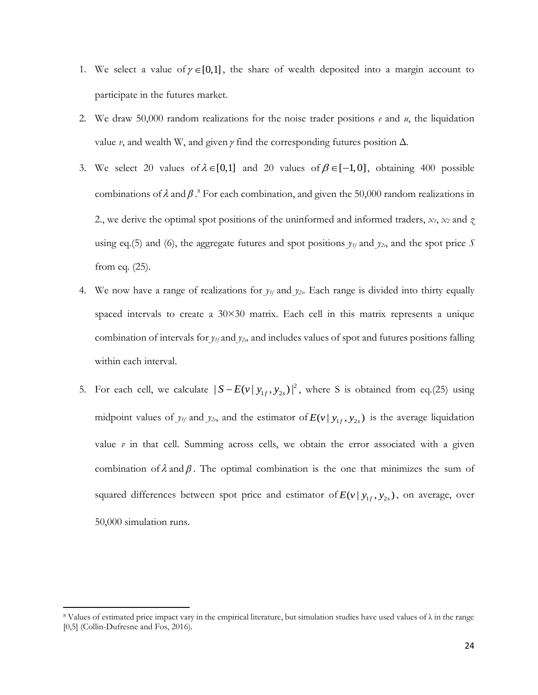- 1. We select a value of  $\gamma \in [0,1]$ , the share of wealth deposited into a margin account to participate in the futures market.
- 2. We draw 50,000 random realizations for the noise trader positions *e* and *u*, the liquidation value  $\nu$ , and wealth W, and given  $\gamma$  find the corresponding futures position  $\Delta$ .
- 3. We select 20 values of  $\lambda \in [0,1]$  and 20 values of  $\beta \in [-1,0]$ , obtaining 400 possible combinations of  $\lambda$  and  $\beta$ .<sup>8</sup> For each combination, and given the 50,000 random realizations in 2., we derive the optimal spot positions of the uninformed and informed traders,  $x_1$ ,  $x_2$  and  $\chi$ using eq.(5) and (6), the aggregate futures and spot positions  $y_{1f}$  and  $y_{2s}$ , and the spot price *S* from eq. (25).
- 4. We now have a range of realizations for  $y_f$  and  $y_z$ . Each range is divided into thirty equally spaced intervals to create a  $30\times30$  matrix. Each cell in this matrix represents a unique combination of intervals for *y1f* and *y2s,* and includes values of spot and futures positions falling within each interval.
- 5. For each cell, we calculate  $|S E(v | y_{1f}, y_{2s})|^2$ , where S is obtained from eq.(25) using midpoint values of  $y_{1f}$  and  $y_{2s}$ , and the estimator of  $E(v | y_{1f}, y_{2s})$  is the average liquidation value *v* in that cell. Summing across cells, we obtain the error associated with a given combination of  $\lambda$  and  $\beta$ . The optimal combination is the one that minimizes the sum of squared differences between spot price and estimator of  $E(v | y_{1f}, y_{2s})$ , on average, over 50,000 simulation runs.

 $\overline{\phantom{a}}$ 

<sup>8</sup> Values of estimated price impact vary in the empirical literature, but simulation studies have used values of λ in the range [0,5] (Collin-Dufresne and Fos, 2016).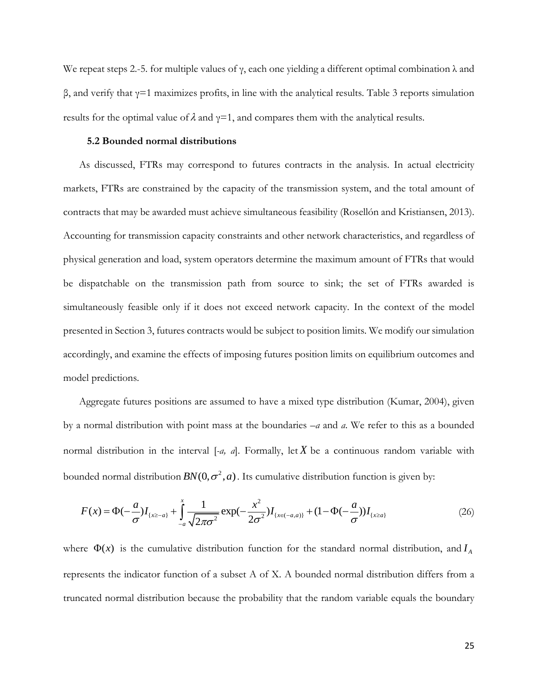We repeat steps 2.-5. for multiple values of  $\gamma$ , each one yielding a different optimal combination  $\lambda$  and β, and verify that γ=1 maximizes profits, in line with the analytical results. Table 3 reports simulation results for the optimal value of  $\lambda$  and  $\gamma=1$ , and compares them with the analytical results.

### **5.2 Bounded normal distributions**

As discussed, FTRs may correspond to futures contracts in the analysis. In actual electricity markets, FTRs are constrained by the capacity of the transmission system, and the total amount of contracts that may be awarded must achieve simultaneous feasibility (Rosellón and Kristiansen, 2013). Accounting for transmission capacity constraints and other network characteristics, and regardless of physical generation and load, system operators determine the maximum amount of FTRs that would be dispatchable on the transmission path from source to sink; the set of FTRs awarded is simultaneously feasible only if it does not exceed network capacity. In the context of the model presented in Section 3, futures contracts would be subject to position limits. We modify our simulation accordingly, and examine the effects of imposing futures position limits on equilibrium outcomes and model predictions.

Aggregate futures positions are assumed to have a mixed type distribution (Kumar, 2004), given by a normal distribution with point mass at the boundaries *–a* and *a*. We refer to this as a bounded normal distribution in the interval  $[-a, a]$ . Formally, let X be a continuous random variable with

bounded normal distribution 
$$
BN(0, \sigma^2, a)
$$
. Its cumulative distribution function is given by:  
\n
$$
F(x) = \Phi(-\frac{a}{\sigma})I_{\{x \ge -a\}} + \int_{-a}^{x} \frac{1}{\sqrt{2\pi\sigma^2}} \exp(-\frac{x^2}{2\sigma^2})I_{\{x \in (-a, a)\}} + (1 - \Phi(-\frac{a}{\sigma}))I_{\{x \ge a\}}
$$
\n(26)

where  $\Phi(x)$  is the cumulative distribution function for the standard normal distribution, and  $I_A$ represents the indicator function of a subset A of X. A bounded normal distribution differs from a truncated normal distribution because the probability that the random variable equals the boundary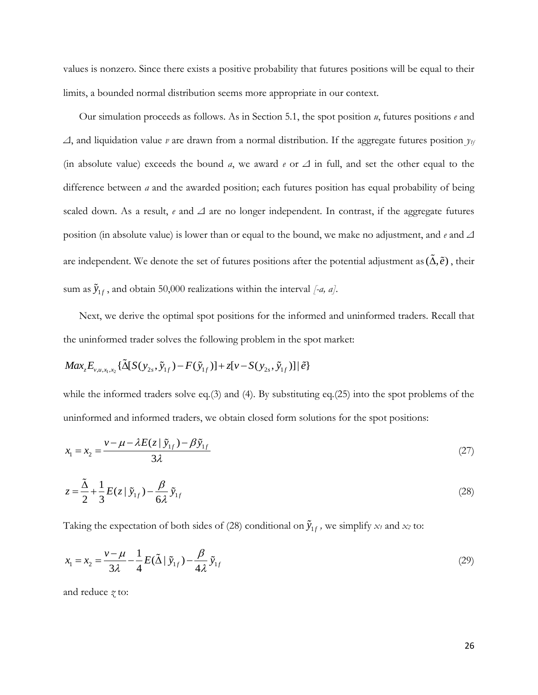values is nonzero. Since there exists a positive probability that futures positions will be equal to their limits, a bounded normal distribution seems more appropriate in our context.

Our simulation proceeds as follows. As in Section 5.1, the spot position *u*, futures positions *e* and *Δ*, and liquidation value *v* are drawn from a normal distribution. If the aggregate futures position *y1f* (in absolute value) exceeds the bound *a*, we award *e* or *Δ* in full, and set the other equal to the difference between *a* and the awarded position; each futures position has equal probability of being scaled down. As a result, *e* and *Δ* are no longer independent. In contrast, if the aggregate futures position (in absolute value) is lower than or equal to the bound, we make no adjustment, and *e* and *Δ* are independent. We denote the set of futures positions after the potential adjustment as  $(\tilde{\Delta}, \tilde{e})$ , their sum as  $\tilde{y}_{1f}$ , and obtain 50,000 realizations within the interval [-*a*, *a*].

Next, we derive the optimal spot positions for the informed and uninformed traders. Recall that

the uninformed trader solves the following problem in the spot market:  
\n
$$
Max_z E_{v,u,x_1,x_2} \{ \tilde{\Delta}[S(y_{2s}, \tilde{y}_{1f}) - F(\tilde{y}_{1f})] + z[v - S(y_{2s}, \tilde{y}_{1f})] | \tilde{e} \}
$$

while the informed traders solve eq.(3) and (4). By substituting eq.(25) into the spot problems of the uninformed and informed traders, we obtain closed form solutions for the spot positions:

$$
x_1 = x_2 = \frac{v - \mu - \lambda E(z \mid \tilde{y}_{1f}) - \beta \tilde{y}_{1f}}{3\lambda}
$$
\n(27)

$$
z = \frac{\tilde{\Delta}}{2} + \frac{1}{3} E(z \mid \tilde{y}_{1f}) - \frac{\beta}{6\lambda} \tilde{y}_{1f}
$$
 (28)

Taking the expectation of both sides of (28) conditional on  $\tilde{y}_{1f}$ , we simplify  $x_t$  and  $x_2$  to:

$$
x_1 = x_2 = \frac{v - \mu}{3\lambda} - \frac{1}{4} E(\tilde{\Delta} | \tilde{y}_{1f}) - \frac{\beta}{4\lambda} \tilde{y}_{1f}
$$
 (29)

and reduce *z* to: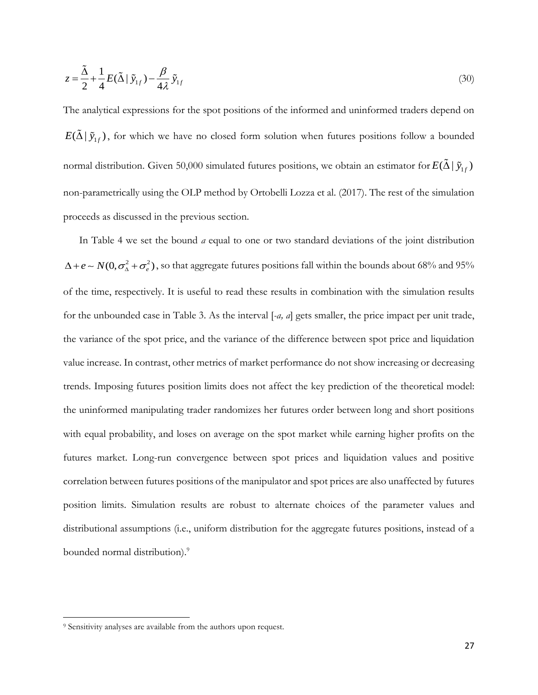$$
z = \frac{\tilde{\Delta}}{2} + \frac{1}{4} E(\tilde{\Delta} | \tilde{y}_{1f}) - \frac{\beta}{4\lambda} \tilde{y}_{1f}
$$
\n(30)

The analytical expressions for the spot positions of the informed and uninformed traders depend on  $E(\tilde{\Delta} | \tilde{y}_{1f})$ , for which we have no closed form solution when futures positions follow a bounded normal distribution. Given 50,000 simulated futures positions, we obtain an estimator for  $E(\tilde{\Delta}\,|\,\tilde{y}_{1f})$ non-parametrically using the OLP method by Ortobelli Lozza et al. (2017). The rest of the simulation proceeds as discussed in the previous section.

In Table 4 we set the bound *a* equal to one or two standard deviations of the joint distribution  $\Delta + e \sim N(0, \sigma_A^2 + \sigma_e^2)$ , so that aggregate futures positions fall within the bounds about 68% and 95% of the time, respectively. It is useful to read these results in combination with the simulation results for the unbounded case in Table 3. As the interval [*-a, a*] gets smaller, the price impact per unit trade, the variance of the spot price, and the variance of the difference between spot price and liquidation value increase. In contrast, other metrics of market performance do not show increasing or decreasing trends. Imposing futures position limits does not affect the key prediction of the theoretical model: the uninformed manipulating trader randomizes her futures order between long and short positions with equal probability, and loses on average on the spot market while earning higher profits on the futures market. Long-run convergence between spot prices and liquidation values and positive correlation between futures positions of the manipulator and spot prices are also unaffected by futures position limits. Simulation results are robust to alternate choices of the parameter values and distributional assumptions (i.e., uniform distribution for the aggregate futures positions, instead of a bounded normal distribution).<sup>9</sup>

 $\overline{\phantom{a}}$ 

<sup>9</sup> Sensitivity analyses are available from the authors upon request.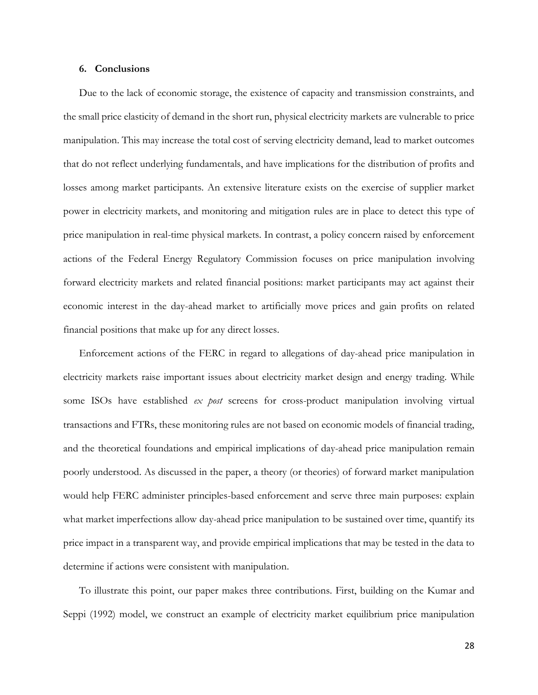## **6. Conclusions**

Due to the lack of economic storage, the existence of capacity and transmission constraints, and the small price elasticity of demand in the short run, physical electricity markets are vulnerable to price manipulation. This may increase the total cost of serving electricity demand, lead to market outcomes that do not reflect underlying fundamentals, and have implications for the distribution of profits and losses among market participants. An extensive literature exists on the exercise of supplier market power in electricity markets, and monitoring and mitigation rules are in place to detect this type of price manipulation in real-time physical markets. In contrast, a policy concern raised by enforcement actions of the Federal Energy Regulatory Commission focuses on price manipulation involving forward electricity markets and related financial positions: market participants may act against their economic interest in the day-ahead market to artificially move prices and gain profits on related financial positions that make up for any direct losses.

Enforcement actions of the FERC in regard to allegations of day-ahead price manipulation in electricity markets raise important issues about electricity market design and energy trading. While some ISOs have established *ex post* screens for cross-product manipulation involving virtual transactions and FTRs, these monitoring rules are not based on economic models of financial trading, and the theoretical foundations and empirical implications of day-ahead price manipulation remain poorly understood. As discussed in the paper, a theory (or theories) of forward market manipulation would help FERC administer principles-based enforcement and serve three main purposes: explain what market imperfections allow day-ahead price manipulation to be sustained over time, quantify its price impact in a transparent way, and provide empirical implications that may be tested in the data to determine if actions were consistent with manipulation.

To illustrate this point, our paper makes three contributions. First, building on the Kumar and Seppi (1992) model, we construct an example of electricity market equilibrium price manipulation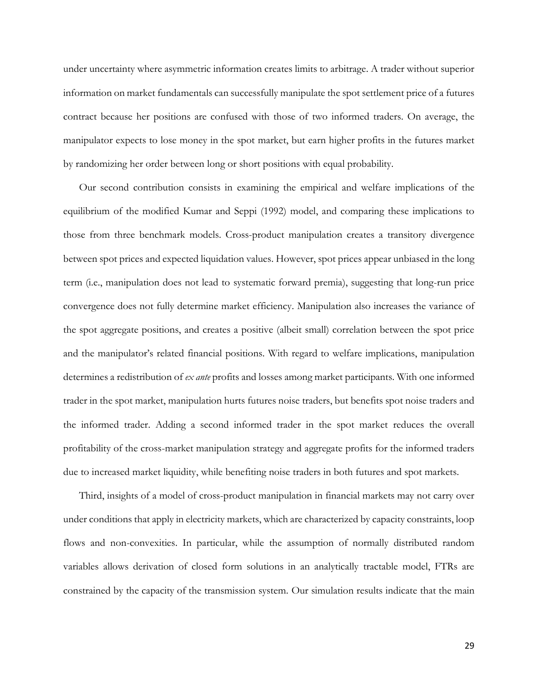under uncertainty where asymmetric information creates limits to arbitrage. A trader without superior information on market fundamentals can successfully manipulate the spot settlement price of a futures contract because her positions are confused with those of two informed traders. On average, the manipulator expects to lose money in the spot market, but earn higher profits in the futures market by randomizing her order between long or short positions with equal probability.

Our second contribution consists in examining the empirical and welfare implications of the equilibrium of the modified Kumar and Seppi (1992) model, and comparing these implications to those from three benchmark models. Cross-product manipulation creates a transitory divergence between spot prices and expected liquidation values. However, spot prices appear unbiased in the long term (i.e., manipulation does not lead to systematic forward premia), suggesting that long-run price convergence does not fully determine market efficiency. Manipulation also increases the variance of the spot aggregate positions, and creates a positive (albeit small) correlation between the spot price and the manipulator's related financial positions. With regard to welfare implications, manipulation determines a redistribution of *ex ante* profits and losses among market participants. With one informed trader in the spot market, manipulation hurts futures noise traders, but benefits spot noise traders and the informed trader. Adding a second informed trader in the spot market reduces the overall profitability of the cross-market manipulation strategy and aggregate profits for the informed traders due to increased market liquidity, while benefiting noise traders in both futures and spot markets.

Third, insights of a model of cross-product manipulation in financial markets may not carry over under conditions that apply in electricity markets, which are characterized by capacity constraints, loop flows and non-convexities. In particular, while the assumption of normally distributed random variables allows derivation of closed form solutions in an analytically tractable model, FTRs are constrained by the capacity of the transmission system. Our simulation results indicate that the main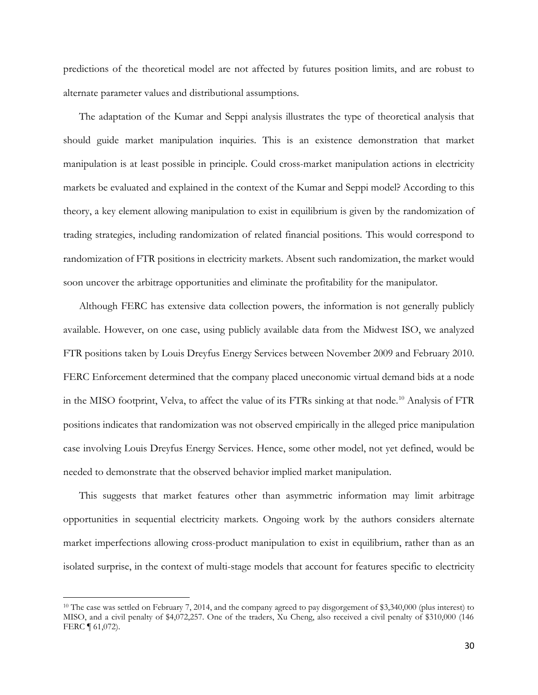predictions of the theoretical model are not affected by futures position limits, and are robust to alternate parameter values and distributional assumptions.

The adaptation of the Kumar and Seppi analysis illustrates the type of theoretical analysis that should guide market manipulation inquiries. This is an existence demonstration that market manipulation is at least possible in principle. Could cross-market manipulation actions in electricity markets be evaluated and explained in the context of the Kumar and Seppi model? According to this theory, a key element allowing manipulation to exist in equilibrium is given by the randomization of trading strategies, including randomization of related financial positions. This would correspond to randomization of FTR positions in electricity markets. Absent such randomization, the market would soon uncover the arbitrage opportunities and eliminate the profitability for the manipulator.

Although FERC has extensive data collection powers, the information is not generally publicly available. However, on one case, using publicly available data from the Midwest ISO, we analyzed FTR positions taken by Louis Dreyfus Energy Services between November 2009 and February 2010. FERC Enforcement determined that the company placed uneconomic virtual demand bids at a node in the MISO footprint, Velva, to affect the value of its FTRs sinking at that node.<sup>10</sup> Analysis of FTR positions indicates that randomization was not observed empirically in the alleged price manipulation case involving Louis Dreyfus Energy Services. Hence, some other model, not yet defined, would be needed to demonstrate that the observed behavior implied market manipulation.

This suggests that market features other than asymmetric information may limit arbitrage opportunities in sequential electricity markets. Ongoing work by the authors considers alternate market imperfections allowing cross-product manipulation to exist in equilibrium, rather than as an isolated surprise, in the context of multi-stage models that account for features specific to electricity

 $\overline{\phantom{a}}$ 

<sup>10</sup> The case was settled on February 7, 2014, and the company agreed to pay disgorgement of \$3,340,000 (plus interest) to MISO, and a civil penalty of \$4,072,257. One of the traders, Xu Cheng, also received a civil penalty of \$310,000 (146 FERC ¶ 61,072).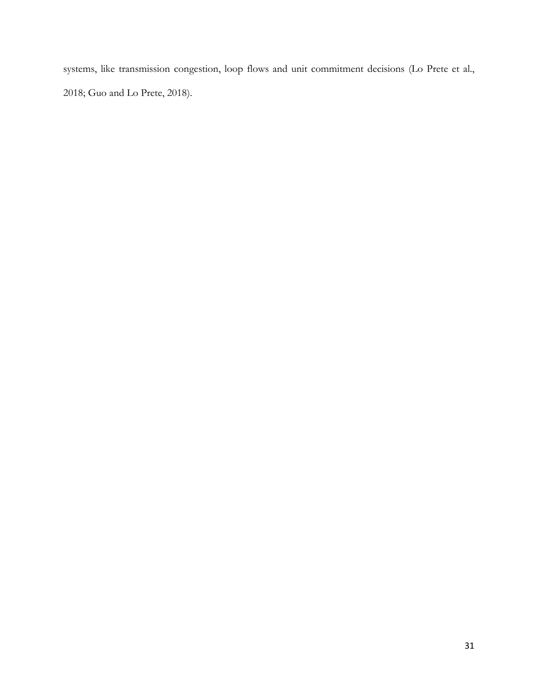systems, like transmission congestion, loop flows and unit commitment decisions (Lo Prete et al., 2018; Guo and Lo Prete, 2018).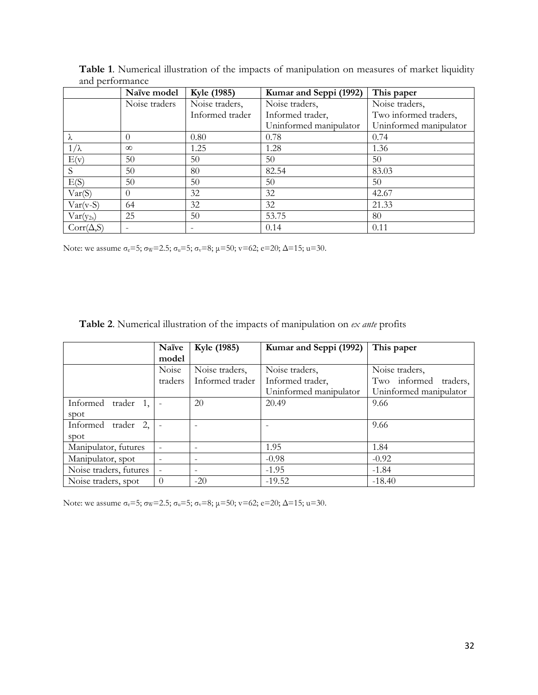|                   | Naïve model   | Kyle (1985)     | Kumar and Seppi (1992) | This paper             |
|-------------------|---------------|-----------------|------------------------|------------------------|
|                   | Noise traders | Noise traders,  | Noise traders,         | Noise traders,         |
|                   |               | Informed trader | Informed trader,       | Two informed traders,  |
|                   |               |                 | Uninformed manipulator | Uninformed manipulator |
| λ                 | $\cup$        | 0.80            | 0.78                   | 0.74                   |
| $1/\lambda$       | $\infty$      | 1.25            | 1.28                   | 1.36                   |
| E(v)              | 50            | 50              | 50                     | 50                     |
| S                 | 50            | 80              | 82.54                  | 83.03                  |
| E(S)              | 50            | 50              | 50                     | 50                     |
| Var(S)            |               | 32              | 32                     | 42.67                  |
| $Var(v-S)$        | 64            | 32              | 32                     | 21.33                  |
| $Var(y_{2s})$     | 25            | 50              | 53.75                  | 80                     |
| $Corr(\Delta, S)$ |               |                 | 0.14                   | 0.11                   |

**Table 1**. Numerical illustration of the impacts of manipulation on measures of market liquidity and performance

Note: we assume σ<sub>e</sub>=5; σ<sub>w</sub>=2.5; σ<sub>u</sub>=5; σ<sub>v</sub>=8; μ=50; v=62; e=20; Δ=15; u=30.

| Table 2. Numerical illustration of the impacts of manipulation on ex ante profits |  |
|-----------------------------------------------------------------------------------|--|
|-----------------------------------------------------------------------------------|--|

|                          | Naïve    | Kyle (1985)                  | Kumar and Seppi (1992) | This paper             |
|--------------------------|----------|------------------------------|------------------------|------------------------|
|                          | model    |                              |                        |                        |
|                          | Noise    | Noise traders,               | Noise traders,         | Noise traders,         |
|                          | traders  | Informed trader              | Informed trader,       | Two informed traders,  |
|                          |          |                              | Uninformed manipulator | Uninformed manipulator |
| Informed<br>trader 1,    |          | 20                           | 20.49                  | 9.66                   |
| spot                     |          |                              |                        |                        |
| 2,<br>Informed<br>trader |          |                              |                        | 9.66                   |
| spot                     |          |                              |                        |                        |
| Manipulator, futures     |          | $\overline{\phantom{0}}$     | 1.95                   | 1.84                   |
| Manipulator, spot        |          | $\qquad \qquad \blacksquare$ | $-0.98$                | $-0.92$                |
| Noise traders, futures   |          | $\qquad \qquad$              | $-1.95$                | $-1.84$                |
| Noise traders, spot      | $\theta$ | $-20$                        | $-19.52$               | $-18.40$               |

Note: we assume  $\sigma_e = 5$ ;  $\sigma_w = 2.5$ ;  $\sigma_u = 5$ ;  $\sigma_v = 8$ ;  $\mu = 50$ ;  $v = 62$ ;  $e = 20$ ;  $\Delta = 15$ ;  $u = 30$ .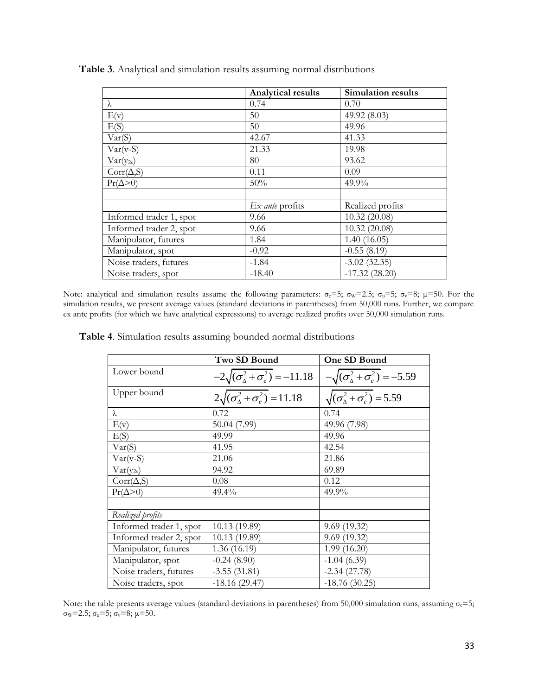|                         | <b>Analytical results</b> | <b>Simulation results</b> |
|-------------------------|---------------------------|---------------------------|
| λ                       | 0.74                      | 0.70                      |
| E(v)                    | 50                        | 49.92 (8.03)              |
| E(S)                    | 50                        | 49.96                     |
| Var(S)                  | 42.67                     | 41.33                     |
| $Var(v-S)$              | 21.33                     | 19.98                     |
| $Var(y_{2s})$           | 80                        | 93.62                     |
| $Corr(\Delta, S)$       | 0.11                      | 0.09                      |
| $Pr(\Delta > 0)$        | 50%                       | $49.9\%$                  |
|                         |                           |                           |
|                         | $Ex$ ante profits         | Realized profits          |
| Informed trader 1, spot | 9.66                      | 10.32(20.08)              |
| Informed trader 2, spot | 9.66                      | 10.32(20.08)              |
| Manipulator, futures    | 1.84                      | 1.40(16.05)               |
| Manipulator, spot       | $-0.92$                   | $-0.55(8.19)$             |
| Noise traders, futures  | $-1.84$                   | $-3.02(32.35)$            |
| Noise traders, spot     | $-18.40$                  | $-17.32(28.20)$           |

**Table 3**. Analytical and simulation results assuming normal distributions

Note: analytical and simulation results assume the following parameters:  $\sigma_e=5$ ;  $\sigma_w=2.5$ ;  $\sigma_u=5$ ;  $\sigma_v=8$ ;  $\mu=50$ . For the simulation results, we present average values (standard deviations in parentheses) from 50,000 runs. Further, we compare ex ante profits (for which we have analytical expressions) to average realized profits over 50,000 simulation runs.

**Table 4**. Simulation results assuming bounded normal distributions

|                         | Two SD Bound                                     | One SD Bound                                       |
|-------------------------|--------------------------------------------------|----------------------------------------------------|
| Lower bound             | $-2\sqrt{(\sigma_{\Delta}^2+\sigma_e^2)}=-11.18$ | $-\sqrt{(\sigma_{\Delta}^2 + \sigma_e^2)} = -5.59$ |
| Upper bound             | $2\sqrt{(\sigma_{\Delta}^2+\sigma_{e}^2)}=11.18$ | $\sqrt{(\sigma_{\Delta}^2 + \sigma_{e}^2)} = 5.59$ |
| λ                       | 0.72                                             | 0.74                                               |
| E(v)                    | 50.04 (7.99)                                     | 49.96 (7.98)                                       |
| E(S)                    | 49.99                                            | 49.96                                              |
| Var(S)                  | 41.95                                            | 42.54                                              |
| $Var(v-S)$              | 21.06                                            | 21.86                                              |
| $Var(y_{2s})$           | 94.92                                            | 69.89                                              |
| $Corr(\Delta, S)$       | 0.08                                             | 0.12                                               |
| $Pr(\Delta > 0)$        | 49.4%                                            | 49.9%                                              |
|                         |                                                  |                                                    |
| Realized profits        |                                                  |                                                    |
| Informed trader 1, spot | 10.13 (19.89)                                    | 9.69(19.32)                                        |
| Informed trader 2, spot | 10.13 (19.89)                                    | 9.69(19.32)                                        |
| Manipulator, futures    | 1.36(16.19)                                      | 1.99(16.20)                                        |
| Manipulator, spot       | $-0.24(8.90)$                                    | $-1.04(6.39)$                                      |
| Noise traders, futures  | $-3.55(31.81)$                                   | $-2.34(27.78)$                                     |
| Noise traders, spot     | $-18.16(29.47)$                                  | $-18.76(30.25)$                                    |

Note: the table presents average values (standard deviations in parentheses) from 50,000 simulation runs, assuming  $\sigma_e=5$ ; σw=2.5; σu=5; σv=8; μ=50.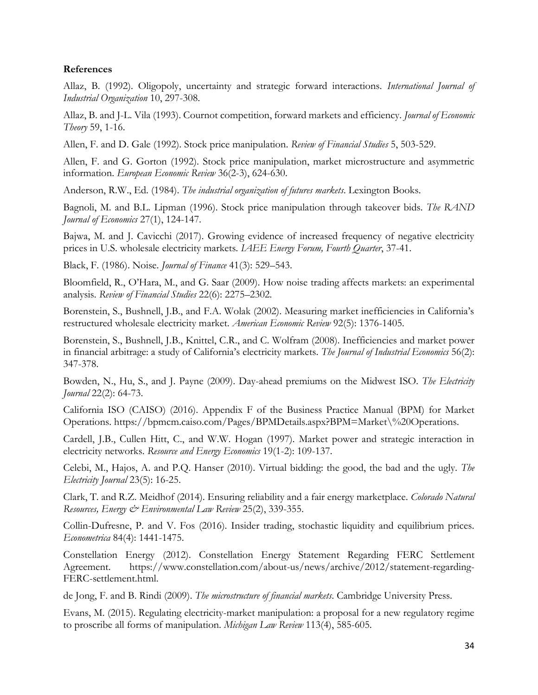## **References**

Allaz, B. (1992). Oligopoly, uncertainty and strategic forward interactions. *International Journal of Industrial Organization* 10, 297-308.

Allaz, B. and J-L. Vila (1993). Cournot competition, forward markets and efficiency. *Journal of Economic Theory* 59, 1-16.

Allen, F. and D. Gale (1992). Stock price manipulation. *Review of Financial Studies* 5, 503-529.

Allen, F. and G. Gorton (1992). Stock price manipulation, market microstructure and asymmetric information. *European Economic Review* 36(2-3), 624-630.

Anderson, R.W., Ed. (1984). *The industrial organization of futures markets*. Lexington Books.

Bagnoli, M. and B.L. Lipman (1996). Stock price manipulation through takeover bids. *The RAND Journal of Economics* 27(1), 124-147.

Bajwa, M. and J. Cavicchi (2017). Growing evidence of increased frequency of negative electricity prices in U.S. wholesale electricity markets. *IAEE Energy Forum, Fourth Quarter*, 37-41.

Black, F. (1986). Noise. *Journal of Finance* 41(3): 529–543.

Bloomfield, R., O'Hara, M., and G. Saar (2009). How noise trading affects markets: an experimental analysis. *Review of Financial Studies* 22(6): 2275–2302.

Borenstein, S., Bushnell, J.B., and F.A. Wolak (2002). Measuring market inefficiencies in California's restructured wholesale electricity market. *American Economic Review* 92(5): 1376-1405.

Borenstein, S., Bushnell, J.B., Knittel, C.R., and C. Wolfram (2008). Inefficiencies and market power in financial arbitrage: a study of California's electricity markets. *The Journal of Industrial Economics* 56(2): 347-378.

Bowden, N., Hu, S., and J. Payne (2009). Day-ahead premiums on the Midwest ISO. *The Electricity Journal* 22(2): 64-73.

California ISO (CAISO) (2016). Appendix F of the Business Practice Manual (BPM) for Market Operations. https://bpmcm.caiso.com/Pages/BPMDetails.aspx?BPM=Market\%20Operations.

Cardell, J.B., Cullen Hitt, C., and W.W. Hogan (1997). Market power and strategic interaction in electricity networks. *Resource and Energy Economics* 19(1-2): 109-137.

Celebi, M., Hajos, A. and P.Q. Hanser (2010). Virtual bidding: the good, the bad and the ugly. *The Electricity Journal* 23(5): 16-25.

Clark, T. and R.Z. Meidhof (2014). Ensuring reliability and a fair energy marketplace. *Colorado Natural Resources, Energy & Environmental Law Review* 25(2), 339-355.

Collin-Dufresne, P. and V. Fos (2016). Insider trading, stochastic liquidity and equilibrium prices. *Econometrica* 84(4): 1441-1475.

Constellation Energy (2012). Constellation Energy Statement Regarding FERC Settlement Agreement. https://www.constellation.com/about-us/news/archive/2012/statement-regarding-FERC-settlement.html.

de Jong, F. and B. Rindi (2009). *The microstructure of financial markets*. Cambridge University Press.

Evans, M. (2015). Regulating electricity-market manipulation: a proposal for a new regulatory regime to proscribe all forms of manipulation. *Michigan Law Review* 113(4), 585-605.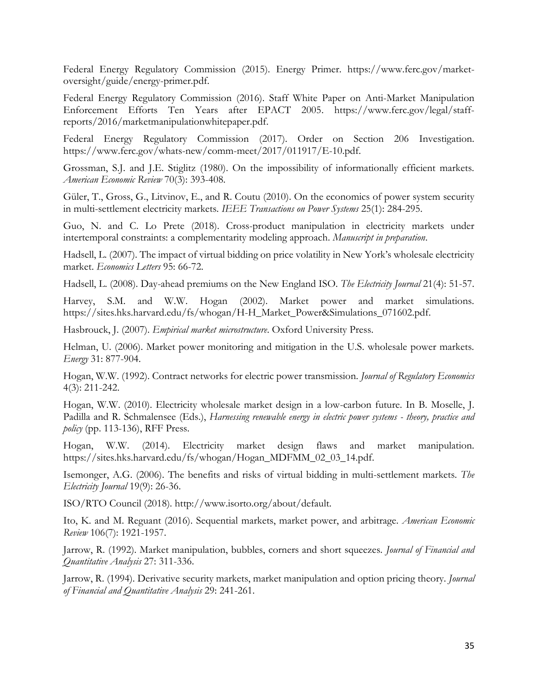Federal Energy Regulatory Commission (2015). Energy Primer. https://www.ferc.gov/marketoversight/guide/energy-primer.pdf.

Federal Energy Regulatory Commission (2016). Staff White Paper on Anti-Market Manipulation Enforcement Efforts Ten Years after EPACT 2005. https://www.ferc.gov/legal/staffreports/2016/marketmanipulationwhitepaper.pdf.

Federal Energy Regulatory Commission (2017). Order on Section 206 Investigation. https://www.ferc.gov/whats-new/comm-meet/2017/011917/E-10.pdf.

Grossman, S.J. and J.E. Stiglitz (1980). On the impossibility of informationally efficient markets. *American Economic Review* 70(3): 393-408.

Güler, T., Gross, G., Litvinov, E., and R. Coutu (2010). On the economics of power system security in multi-settlement electricity markets. *IEEE Transactions on Power Systems* 25(1): 284-295.

Guo, N. and C. Lo Prete (2018). Cross-product manipulation in electricity markets under intertemporal constraints: a complementarity modeling approach. *Manuscript in preparation*.

Hadsell, L. (2007). The impact of virtual bidding on price volatility in New York's wholesale electricity market. *Economics Letters* 95: 66-72.

Hadsell, L. (2008). Day-ahead premiums on the New England ISO. *The Electricity Journal* 21(4): 51-57.

Harvey, S.M. and W.W. Hogan (2002). Market power and market simulations. https://sites.hks.harvard.edu/fs/whogan/H-H\_Market\_Power&Simulations\_071602.pdf.

Hasbrouck, J. (2007). *Empirical market microstructure*. Oxford University Press.

Helman, U. (2006). Market power monitoring and mitigation in the U.S. wholesale power markets. *Energy* 31: 877-904.

Hogan, W.W. (1992). Contract networks for electric power transmission. *Journal of Regulatory Economics* 4(3): 211-242.

Hogan, W.W. (2010). Electricity wholesale market design in a low-carbon future. In B. Moselle, J. Padilla and R. Schmalensee (Eds.), *Harnessing renewable energy in electric power systems - theory, practice and policy* (pp. 113-136), RFF Press.

Hogan, W.W. (2014). Electricity market design flaws and market manipulation. https://sites.hks.harvard.edu/fs/whogan/Hogan\_MDFMM\_02\_03\_14.pdf.

Isemonger, A.G. (2006). The benefits and risks of virtual bidding in multi-settlement markets. *The Electricity Journal* 19(9): 26-36.

ISO/RTO Council (2018). http://www.isorto.org/about/default.

Ito, K. and M. Reguant (2016). Sequential markets, market power, and arbitrage. *American Economic Review* 106(7): 1921-1957.

Jarrow, R. (1992). Market manipulation, bubbles, corners and short squeezes. *Journal of Financial and Quantitative Analysis* 27: 311-336.

Jarrow, R. (1994). Derivative security markets, market manipulation and option pricing theory. *Journal of Financial and Quantitative Analysis* 29: 241-261.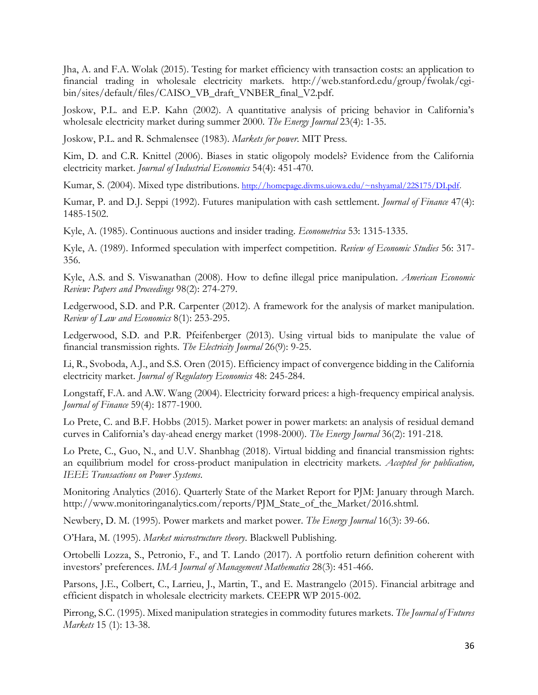Jha, A. and F.A. Wolak (2015). Testing for market efficiency with transaction costs: an application to financial trading in wholesale electricity markets. http://web.stanford.edu/group/fwolak/cgibin/sites/default/files/CAISO\_VB\_draft\_VNBER\_final\_V2.pdf.

Joskow, P.L. and E.P. Kahn (2002). A quantitative analysis of pricing behavior in California's wholesale electricity market during summer 2000. *The Energy Journal* 23(4): 1-35.

Joskow, P.L. and R. Schmalensee (1983). *Markets for power*. MIT Press.

Kim, D. and C.R. Knittel (2006). Biases in static oligopoly models? Evidence from the California electricity market. *Journal of Industrial Economics* 54(4): 451-470.

Kumar, S. (2004). Mixed type distributions. [http://homepage.divms.uiowa.edu/~nshyamal/22S175/DI.pdf.](http://homepage.divms.uiowa.edu/~nshyamal/22S175/DI.pdf)

Kumar, P. and D.J. Seppi (1992). Futures manipulation with cash settlement. *Journal of Finance* 47(4): 1485-1502.

Kyle, A. (1985). Continuous auctions and insider trading. *Econometrica* 53: 1315-1335.

Kyle, A. (1989). Informed speculation with imperfect competition. *Review of Economic Studies* 56: 317- 356.

Kyle, A.S. and S. Viswanathan (2008). How to define illegal price manipulation. *American Economic Review: Papers and Proceedings* 98(2): 274-279.

Ledgerwood, S.D. and P.R. Carpenter (2012). A framework for the analysis of market manipulation. *Review of Law and Economics* 8(1): 253-295.

Ledgerwood, S.D. and P.R. Pfeifenberger (2013). Using virtual bids to manipulate the value of financial transmission rights. *The Electricity Journal* 26(9): 9-25.

Li, R., Svoboda, A.J., and S.S. Oren (2015). Efficiency impact of convergence bidding in the California electricity market. *Journal of Regulatory Economics* 48: 245-284.

Longstaff, F.A. and A.W. Wang (2004). Electricity forward prices: a high-frequency empirical analysis. *Journal of Finance* 59(4): 1877-1900.

Lo Prete, C. and B.F. Hobbs (2015). Market power in power markets: an analysis of residual demand curves in California's day-ahead energy market (1998-2000). *The Energy Journal* 36(2): 191-218.

Lo Prete, C., Guo, N., and U.V. Shanbhag (2018). Virtual bidding and financial transmission rights: an equilibrium model for cross-product manipulation in electricity markets. *Accepted for publication, IEEE Transactions on Power Systems*.

Monitoring Analytics (2016). Quarterly State of the Market Report for PJM: January through March. http://www.monitoringanalytics.com/reports/PJM\_State\_of\_the\_Market/2016.shtml.

Newbery, D. M. (1995). Power markets and market power. *The Energy Journal* 16(3): 39-66.

O'Hara, M. (1995). *Market microstructure theory*. Blackwell Publishing.

Ortobelli Lozza, S., Petronio, F., and T. Lando (2017). A portfolio return definition coherent with investors' preferences. *IMA Journal of Management Mathematics* 28(3): 451-466.

Parsons, J.E., Colbert, C., Larrieu, J., Martin, T., and E. Mastrangelo (2015). Financial arbitrage and efficient dispatch in wholesale electricity markets. CEEPR WP 2015-002.

Pirrong, S.C. (1995). Mixed manipulation strategies in commodity futures markets. *The Journal of Futures Markets* 15 (1): 13-38.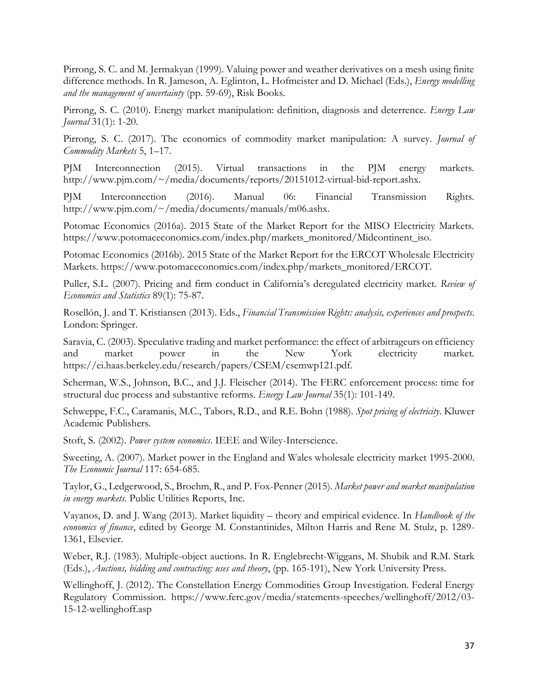Pirrong, S. C. and M. Jermakyan (1999). Valuing power and weather derivatives on a mesh using finite difference methods. In R. Jameson, A. Eglinton, L. Hofmeister and D. Michael (Eds.), *Energy modelling and the management of uncertainty* (pp. 59-69), Risk Books.

Pirrong, S. C. (2010). Energy market manipulation: definition, diagnosis and deterrence. *Energy Law Journal* 31(1): 1-20.

Pirrong, S. C. (2017). The economics of commodity market manipulation: A survey. *Journal of Commodity Markets* 5, 1–17.

PJM Interconnection (2015). Virtual transactions in the PJM energy markets. http://www.pjm.com/~/media/documents/reports/20151012-virtual-bid-report.ashx.

PJM Interconnection (2016). Manual 06: Financial Transmission Rights. http://www.pjm.com/~/media/documents/manuals/m06.ashx.

Potomac Economics (2016a). 2015 State of the Market Report for the MISO Electricity Markets. https://www.potomaceconomics.com/index.php/markets\_monitored/Midcontinent\_iso.

Potomac Economics (2016b). 2015 State of the Market Report for the ERCOT Wholesale Electricity Markets. https://www.potomaceconomics.com/index.php/markets\_monitored/ERCOT.

Puller, S.L. (2007). Pricing and firm conduct in California's deregulated electricity market. *Review of Economics and Statistics* 89(1): 75-87.

Rosellón, J. and T. Kristiansen (2013). Eds., *Financial Transmission Rights: analysis, experiences and prospects*. London: Springer.

Saravia, C. (2003). Speculative trading and market performance: the effect of arbitrageurs on efficiency and market power in the New York electricity market. https://ei.haas.berkeley.edu/research/papers/CSEM/csemwp121.pdf.

Scherman, W.S., Johnson, B.C., and J.J. Fleischer (2014). The FERC enforcement process: time for structural due process and substantive reforms. *Energy Law Journal* 35(1): 101-149.

Schweppe, F.C., Caramanis, M.C., Tabors, R.D., and R.E. Bohn (1988). *Spot pricing of electricity*. Kluwer Academic Publishers.

Stoft, S. (2002). *Power system economics*. IEEE and Wiley-Interscience.

Sweeting, A. (2007). Market power in the England and Wales wholesale electricity market 1995-2000. *The Economic Journal* 117: 654-685.

Taylor, G., Ledgerwood, S., Broehm, R., and P. Fox-Penner (2015). *Market power and market manipulation in energy markets*. Public Utilities Reports, Inc.

Vayanos, D. and J. Wang (2013). Market liquidity – theory and empirical evidence. In *Handbook of the economics of finance*, edited by George M. Constantinides, Milton Harris and Rene M. Stulz, p. 1289- 1361, Elsevier.

Weber, R.J. (1983). Multiple-object auctions. In R. Englebrecht-Wiggans, M. Shubik and R.M. Stark (Eds.), *Auctions, bidding and contracting: uses and theory*, (pp. 165-191), New York University Press.

Wellinghoff, J. (2012). The Constellation Energy Commodities Group Investigation. Federal Energy Regulatory Commission. https://www.ferc.gov/media/statements-speeches/wellinghoff/2012/03- 15-12-wellinghoff.asp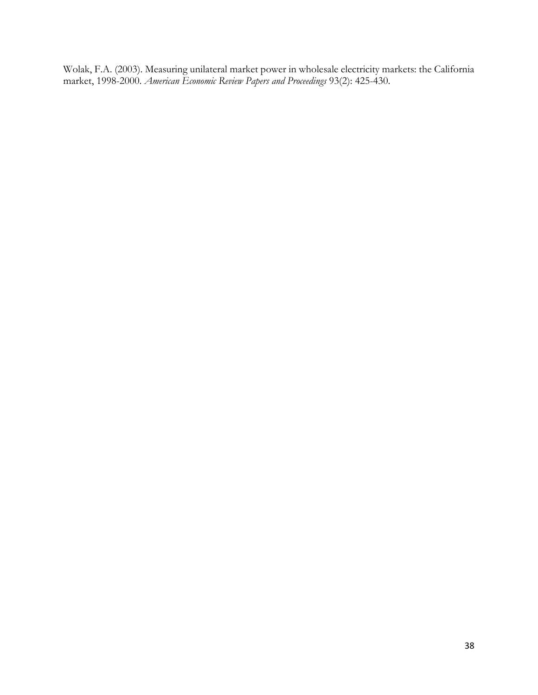Wolak, F.A. (2003). Measuring unilateral market power in wholesale electricity markets: the California market, 1998-2000. *American Economic Review Papers and Proceedings* 93(2): 425-430.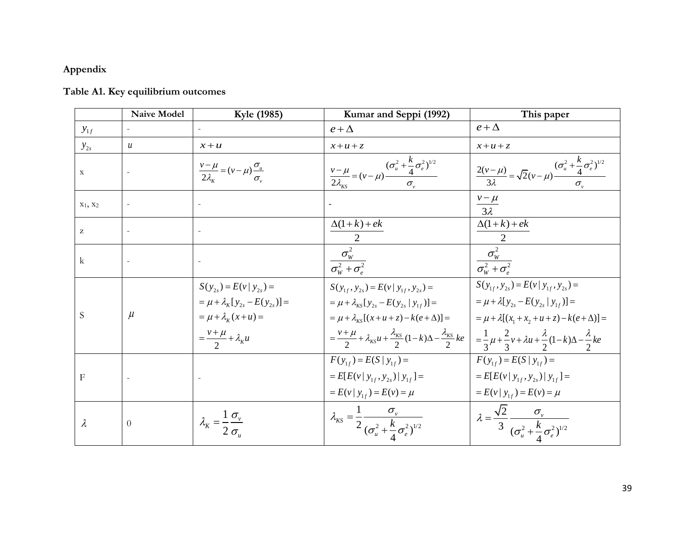## **Appendix**

## **Table A1. Key equilibrium outcomes**

|                           | <b>Naive Model</b> | Kyle (1985)                                                                                                                                | Kumar and Seppi (1992)                                                                                                                                                                                                                                                                                                                                                            | This paper                                                                                                                                                      |
|---------------------------|--------------------|--------------------------------------------------------------------------------------------------------------------------------------------|-----------------------------------------------------------------------------------------------------------------------------------------------------------------------------------------------------------------------------------------------------------------------------------------------------------------------------------------------------------------------------------|-----------------------------------------------------------------------------------------------------------------------------------------------------------------|
| $y_{1f}$                  |                    |                                                                                                                                            | $e + \Delta$                                                                                                                                                                                                                                                                                                                                                                      | $e + \Delta$                                                                                                                                                    |
| $y_{2s}$                  | $\boldsymbol{u}$   | $x+u$                                                                                                                                      | $x+u+z$                                                                                                                                                                                                                                                                                                                                                                           | $x+u+z$                                                                                                                                                         |
| $\mathbf X$               |                    | $\frac{v-\mu}{2\lambda_{\kappa}} = (v-\mu)\frac{\sigma_{\mu}}{\sigma_{\nu}}$                                                               | $\frac{v-\mu}{2\lambda_{\kappa s}} = (v-\mu) \frac{(\sigma_u^2 + \frac{k}{4}\sigma_e^2)^{1/2}}{\sigma_v}$                                                                                                                                                                                                                                                                         | $\frac{2(v-\mu)}{3\lambda} = \sqrt{2}(v-\mu)\frac{(\sigma_u^2 + \frac{k}{4}\sigma_e^2)^{1/2}}{\sigma_v}$                                                        |
| $X_1$ , $X_2$             |                    |                                                                                                                                            |                                                                                                                                                                                                                                                                                                                                                                                   | $\frac{v-\mu}{3\lambda}$                                                                                                                                        |
| z                         |                    |                                                                                                                                            | $\Delta(1+k)+ek$                                                                                                                                                                                                                                                                                                                                                                  | $\Delta(1+k)+ek$                                                                                                                                                |
| $\mathbf{k}$              |                    |                                                                                                                                            | $\frac{\sigma_W^2}{\sigma_W^2 + \sigma_s^2}$                                                                                                                                                                                                                                                                                                                                      | $\frac{\sigma_{\rm w}^2}{\sigma_{\rm w}^2 + \sigma_{\rm s}^2}$                                                                                                  |
| S                         | $\mu$              | $S(y_{2s}) = E(v   y_{2s}) =$<br>$= \mu + \lambda_K [y_{2s} - E(y_{2s})] =$<br>$=\mu+\lambda_{k}(x+u)=$<br>$=\frac{v+\mu}{2}+\lambda_{K}u$ | $S(y_{1f}, y_{2s}) = E(v   y_{1f}, y_{2s}) =$<br>$= \mu + \lambda_{KS} [y_{2s} - E(y_{2s}   y_{1f})] =$<br>$= \mu + \lambda_{\kappa s} [(x+u+z) - k(e+\Delta)] =$<br>$=\frac{v+\mu}{2}+\lambda_{\kappa s}u+\frac{\lambda_{\kappa s}}{2}(1-k)\Delta-\frac{\lambda_{\kappa s}}{2}ke\bigg  = \frac{1}{3}\mu+\frac{2}{3}v+\lambda u+\frac{\lambda}{2}(1-k)\Delta-\frac{\lambda}{2}ke$ | $S(y_{1f}, y_{2s}) = E(v   y_{1f}, y_{2s}) =$<br>$= \mu + \lambda [y_{2s} - E(y_{2s}   y_{1f})] =$<br>= $\mu + \lambda [(x_1 + x_2 + u + z) - k(e + \Delta)] =$ |
| $\boldsymbol{\mathrm{F}}$ |                    |                                                                                                                                            | $F(y_{1f}) = E(S   y_{1f}) =$<br>$= E[E(v   y_{1f}, y_{2s})   y_{1f}] =$<br>$= E(v   y_{1f}) = E(v) = \mu$                                                                                                                                                                                                                                                                        | $F(y_{1f}) = E(S   y_{1f}) =$<br>$= E[E(v   y_{1f}, y_{2s})   y_{1f}] =$<br>$= E(v   y_{1f}) = E(v) = \mu$                                                      |
| $\lambda$                 | $\theta$           | $\lambda_{K} = \frac{1}{2} \frac{\sigma_{v}}{\sigma_{v}}$                                                                                  | $\lambda_{KS} = \frac{1}{2} \frac{\sigma_v}{(\sigma_u^2 + \frac{k}{4} \sigma_e^2)^{1/2}}$                                                                                                                                                                                                                                                                                         | $\lambda = \frac{\sqrt{2}}{3} \frac{\sigma_v}{(\sigma_u^2 + \frac{k}{4}\sigma_e^2)^{1/2}}$                                                                      |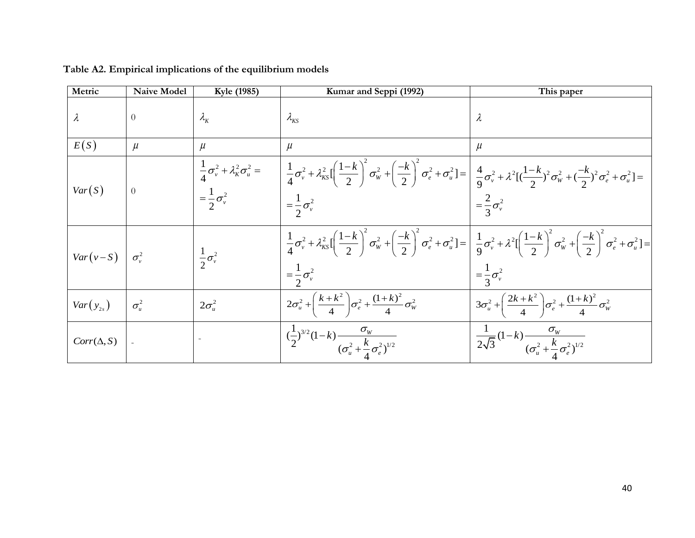| Metric                  | <b>Naive Model</b> | Kyle (1985)                                                                        | Kumar and Seppi (1992)                                                                                                                                                                                                                                                                                                                                                                                                  | This paper                                                                            |
|-------------------------|--------------------|------------------------------------------------------------------------------------|-------------------------------------------------------------------------------------------------------------------------------------------------------------------------------------------------------------------------------------------------------------------------------------------------------------------------------------------------------------------------------------------------------------------------|---------------------------------------------------------------------------------------|
| $\lambda$               | $\Omega$           | $\lambda_{\scriptscriptstyle{K}}$                                                  | $\lambda_{\rm KS}$                                                                                                                                                                                                                                                                                                                                                                                                      | $\lambda$                                                                             |
| E(S)                    | $\mu$              | $\mu$                                                                              | $\mu$                                                                                                                                                                                                                                                                                                                                                                                                                   | $\mu$                                                                                 |
| Var(S)                  | $\theta$           | $\frac{1}{4}\sigma_v^2 + \lambda_K^2 \sigma_u^2 =$<br>$=\frac{1}{2}\sigma_{v}^{2}$ | $\left  \frac{1}{4} \sigma_{v}^{2} + \lambda_{\text{KS}}^{2} \left[ \left( \frac{1-k}{2} \right)^{2} \sigma_{w}^{2} + \left( \frac{-k}{2} \right)^{2} \sigma_{e}^{2} + \sigma_{u}^{2} \right] = \left  \frac{4}{9} \sigma_{v}^{2} + \lambda^{2} \left[ \left( \frac{1-k}{2} \right)^{2} \sigma_{w}^{2} + \left( \frac{-k}{2} \right)^{2} \sigma_{e}^{2} + \sigma_{u}^{2} \right] = \right $<br>$=\frac{1}{2}\sigma_v^2$ | $=\frac{2}{3}\sigma_v^2$                                                              |
|                         |                    |                                                                                    |                                                                                                                                                                                                                                                                                                                                                                                                                         |                                                                                       |
| $Var(v-S)$ $\sigma_v^2$ |                    | $rac{1}{2}\sigma_v^2$                                                              | $\frac{1}{4}\sigma_{v}^{2}+\lambda_{KS}^{2}\left[\left(\frac{1-k}{2}\right)^{2}\sigma_{W}^{2}+\left(\frac{-k}{2}\right)^{2}\sigma_{e}^{2}+\sigma_{u}^{2}\right]=\left[\frac{1}{9}\sigma_{v}^{2}+\lambda^{2}\left[\left(\frac{1-k}{2}\right)^{2}\sigma_{W}^{2}+\left(\frac{-k}{2}\right)^{2}\sigma_{e}^{2}+\sigma_{u}^{2}\right]=\right]$                                                                                |                                                                                       |
|                         |                    |                                                                                    | $=\frac{1}{2}\sigma_{v}^{2}$                                                                                                                                                                                                                                                                                                                                                                                            | $=\frac{1}{3}\sigma_v^2$                                                              |
| $Var(y_{2s})$           | $\sigma^2_u$       | $2\sigma_u^2$                                                                      | $2\sigma_u^2 + \left(\frac{k+k^2}{4}\right)\sigma_e^2 + \frac{(1+k)^2}{4}\sigma_w^2$                                                                                                                                                                                                                                                                                                                                    | $3\sigma_u^2 + \left(\frac{2k+k^2}{4}\right)\sigma_e^2 + \frac{(1+k)^2}{4}\sigma_w^2$ |
| $Corr(\Delta, S)$       |                    |                                                                                    | $\frac{(\frac{1}{2})^{3/2}(1-k)\frac{6}{(\sigma_u^2+\frac{k}{4}\sigma_e^2)^{1/2}}}{(\sigma_u^2+\frac{k}{4}\sigma_e^2)^{1/2}}$                                                                                                                                                                                                                                                                                           | $\frac{1}{2\sqrt{3}}(1-k)\frac{G_W}{(\sigma_u^2+\frac{k}{4}\sigma_e^2)^{1/2}}$        |

## **Table A2. Empirical implications of the equilibrium models**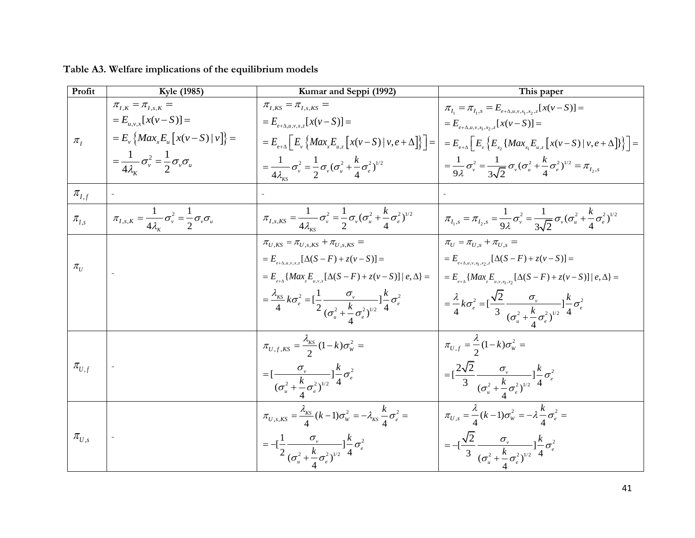| Profit                                | Kyle (1985)                                                                               | Kumar and Seppi (1992)                                                                                                                                 | This paper                                                                                                                                                                        |
|---------------------------------------|-------------------------------------------------------------------------------------------|--------------------------------------------------------------------------------------------------------------------------------------------------------|-----------------------------------------------------------------------------------------------------------------------------------------------------------------------------------|
|                                       | $\pi_{I,K} = \pi_{I,s,K} =$<br>$=E_{u,v,x}[x(v-S)] =$                                     | $\pi_{\scriptscriptstyle I,KS}=\pi_{\scriptscriptstyle I,s,KS}=$                                                                                       | $\pi_{I_1} = \pi_{I_1, s} = E_{e + \Delta, u, v, x_1, x_2, z}[x(v - S)] =$                                                                                                        |
| $\pi_I$                               | $= E_{v} \left\{ Max_{x} E_{u} \left[ x(v - S)   v \right] \right\}$ =                    | $=E_{e+\Delta,u,v,x,z}[x(v-S)]=$<br>$E = E_{e+\Delta} \left[ E_v \left\{ Max_x E_{u,z} \left[ x(v-S) \,   \, v, e + \Delta \right] \right\} \right] =$ | $=E_{e+\Delta,u,v,x_1,x_2,z}[x(v-S)] =$<br>$= E_{e+A} \left[ E_{v} \left\{ E_{x} \left\{ Max_{x} E_{u,z} \left[ x(v-S) \,   \, v, e + \Delta \right] \right\} \right\} \right] =$ |
|                                       | $=\frac{1}{4\lambda_v}\sigma_v^2=\frac{1}{2}\sigma_v\sigma_u$                             | $=\frac{1}{4\lambda_{\kappa s}}\sigma_{v}^{2}=\frac{1}{2}\sigma_{v}(\sigma_{u}^{2}+\frac{k}{4}\sigma_{e}^{2})^{1/2}$                                   | $= \frac{1}{9\lambda} \sigma_v^2 = \frac{1}{3\sqrt{2}} \sigma_v (\sigma_u^2 + \frac{k}{4} \sigma_e^2)^{1/2} = \pi_{I_2, s}$                                                       |
| $\pi_{I,f}$                           |                                                                                           |                                                                                                                                                        |                                                                                                                                                                                   |
| $\pi_{I,s}$                           | $\pi_{I,s,K} = \frac{1}{4\lambda_{k}} \sigma_{v}^{2} = \frac{1}{2} \sigma_{v} \sigma_{u}$ | $\pi_{I,s,KS} = \frac{1}{4\lambda_{\text{max}}} \sigma_{v}^{2} = \frac{1}{2} \sigma_{v} (\sigma_{u}^{2} + \frac{\kappa}{4} \sigma_{e}^{2})^{1/2}$      | $\pi_{I_1,s} = \pi_{I_2,s} = \frac{1}{9\lambda} \sigma_v^2 = \frac{1}{3\sqrt{2}} \sigma_v (\sigma_u^2 + \frac{k}{4} \sigma_e^2)^{1/2}$                                            |
|                                       |                                                                                           | $\pi_{U,KS} = \pi_{U,s,KS} + \pi_{U,s,KS} =$                                                                                                           | $\pi_{U} = \pi_{U}$ s + $\pi_{U}$ s =                                                                                                                                             |
| $\pi_{\scriptscriptstyle U}$          |                                                                                           | $= E_{e+\Delta,u,v,x,z} [\Delta(S - F) + z(v - S)] =$                                                                                                  | $= E_{e+\Delta,u,v,x_1,x_2,z}[\Delta(S - F) + z(v - S)] =$                                                                                                                        |
|                                       |                                                                                           | $= E_{e+\Delta} \{ Max_z E_{u,v,x} [\Delta(S - F) + z(v - S)] \mid e, \Delta \} =$                                                                     | = $E_{e+A}$ { $Max_z E_{u,v,x_1,x_2}$ [ $\Delta(S - F) + z(v - S)$ ]  $e, \Delta$ } =                                                                                             |
|                                       |                                                                                           | $=\frac{\lambda_{KS}}{4}k\sigma_e^2 = \left[\frac{1}{2}\frac{\sigma_v}{(\sigma_u^2 + \frac{k}{\sigma_e^2})^{1/2}}\right]\frac{k}{4}\sigma_e^2$         | $= \frac{\lambda}{4} k \sigma_e^2 = \left[\frac{\sqrt{2}}{3} \frac{\sigma_v}{(\sigma_v^2 + \frac{k}{\sigma_e^2})^{1/2}}\right] \frac{k}{4} \sigma_e^2$                            |
|                                       |                                                                                           | $\pi_{U,f,KS} = \frac{\lambda_{KS}}{2}(1-k)\sigma_W^2 =$                                                                                               | $\pi_{U,f} = \frac{\lambda}{2} (1-k) \sigma_w^2 =$                                                                                                                                |
| $\pi_{\boldsymbol{U},\boldsymbol{f}}$ |                                                                                           | = $\left[\frac{\sigma_v}{(\sigma_u^2 + \frac{k}{4}\sigma_e^2)^{1/2}}\right]_4^k \sigma_e^2$                                                            | $= [\frac{2\sqrt{2}}{3} \frac{\sigma_{v}}{(\sigma_{u}^{2} + \frac{k}{4} \sigma_{e}^{2})^{1/2}}] \frac{k}{4} \sigma_{e}^{2}$                                                       |
|                                       |                                                                                           | $\pi_{U,s,KS} = \frac{\lambda_{KS}}{4} (k-1) \sigma_w^2 = -\lambda_{KS} \frac{k}{4} \sigma_e^2 =$                                                      | $\overline{\pi_{U,s}} = \frac{\lambda}{4} (k-1) \sigma_w^2 = -\lambda \frac{k}{4} \sigma_e^2 =$                                                                                   |
| $\pi_{U,s}$                           |                                                                                           | $= -[\frac{1}{2} \frac{\sigma_v}{(\sigma_u^2 + \sigma_c^2)^{1/2}}] \frac{k}{4} \sigma_e^2$                                                             | $= -[\frac{\sqrt{2}}{3} \frac{\sigma_{v}}{(\sigma_{v}^{2} + \sigma_{v}^{2})^{1/2}}] \frac{k}{4} \sigma_{e}^{2}$                                                                   |

**Table A3. Welfare implications of the equilibrium models**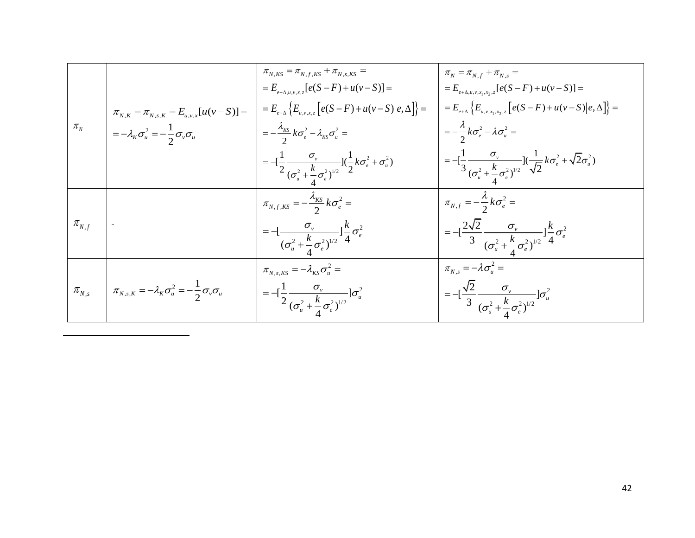|                                |                                                                                    | $\pi_{N,KS} = \pi_{N,f,KS} + \pi_{N,s,KS} =$                                                                                            | $\pi_{\scriptscriptstyle N} = \pi_{\scriptscriptstyle N,f} + \pi_{\scriptscriptstyle N,s} =$                                                              |
|--------------------------------|------------------------------------------------------------------------------------|-----------------------------------------------------------------------------------------------------------------------------------------|-----------------------------------------------------------------------------------------------------------------------------------------------------------|
|                                |                                                                                    | $E_{e+A\mu\nu xz} [e(S-F)+u(v-S)] =$                                                                                                    | $= E_{e+\Delta,u,v,x_1,x_2,z}[e(S - F) + u(v - S)] =$                                                                                                     |
|                                | $\pi_{N,K} = \pi_{N,s,K} = E_{u,v,x}[u(v-S)] =$                                    | $= E_{e+\Delta} \{ E_{u,v,x,z} [e(S - F) + u(v - S)   e, \Delta] \}$ =                                                                  | $= E_{e+\Delta} \left\{ E_{u,v,x_1,x_2,z} \left[ e(S-F) + u(v-S) \right] e, \Delta \right\} =$                                                            |
| $\pi_{\scriptscriptstyle N}$   | $=-\lambda_K \sigma_u^2 = -\frac{1}{2}\sigma_v \sigma_u$                           | $=-\frac{\lambda_{KS}}{2}k\sigma_e^2-\lambda_{KS}\sigma_u^2=$                                                                           | $=-\frac{\lambda}{2}k\sigma_e^2-\lambda\sigma_u^2=$                                                                                                       |
|                                |                                                                                    | = $-\left[\frac{1}{2}\frac{\sigma_v}{(\sigma_u^2 + \frac{k}{\sigma_v^2})^{1/2}}\right]\left(\frac{1}{2}k\sigma_e^2 + \sigma_u^2\right)$ | = $-\left[\frac{1}{3}\frac{\sigma_{v}}{(\sigma_{u}^{2}+\frac{k}{\sigma_{e}^{2}})^{1/2}}\right](\frac{1}{\sqrt{2}}k\sigma_{e}^{2}+\sqrt{2}\sigma_{u}^{2})$ |
|                                |                                                                                    | $\pi_{N,f,KS}=-\frac{\lambda_{KS}}{2}k\sigma_e^2=$                                                                                      | $\pi_{N,f}=-\frac{\lambda}{2}k\sigma_e^2=$                                                                                                                |
| $\pi_{\scriptscriptstyle N,f}$ |                                                                                    | $I = -\left[\frac{\sigma_v}{(\sigma_u^2 + \frac{k}{4}\sigma_e^2)^{1/2}}\right] \frac{k}{4}\sigma_e^2$                                   | $\Big  = -\Big[\frac{2\sqrt{2}}{3} \frac{\sigma_v}{(\sigma_u^2 + \frac{k}{4}\sigma_e^2)^{1/2}}\Big] \frac{k}{4} \sigma_e^2$                               |
|                                |                                                                                    | $\pi_{N,s,KS} = -\lambda_{KS} \sigma_u^2 =$                                                                                             | $\pi_{N,s} = -\lambda \sigma_{n}^2 =$                                                                                                                     |
|                                | $\pi_{N,s}$ $\pi_{N,s,K} = -\lambda_K \sigma_u^2 = -\frac{1}{2} \sigma_v \sigma_u$ | $= -[\frac{1}{2} \frac{\sigma_{v}}{(\sigma_{u}^{2} + \frac{k}{4} \sigma_{e}^{2})^{1/2}}] \sigma_{u}^{2}$                                | $= -[\frac{\sqrt{2}}{3} \frac{\sigma_v}{(\sigma_u^2 + \frac{k}{4} \sigma_e^2)^{1/2}}] \sigma_u^2$                                                         |

 $\overline{\phantom{a}}$